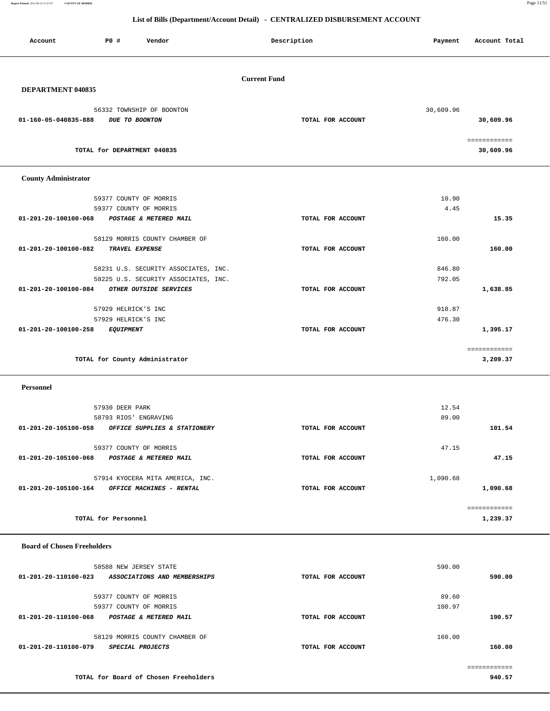**Report Printed** *2012-06-22 15:47:07* **COUNTY OF MORRIS** Page 11/51

| Account                               | <b>PO #</b><br>Vendor                                                       | Description         | Payment   | Account Total |
|---------------------------------------|-----------------------------------------------------------------------------|---------------------|-----------|---------------|
|                                       |                                                                             | <b>Current Fund</b> |           |               |
| DEPARTMENT 040835                     |                                                                             |                     |           |               |
|                                       | 56332 TOWNSHIP OF BOONTON                                                   |                     | 30,609.96 |               |
| 01-160-05-040835-888                  | DUE TO BOONTON                                                              | TOTAL FOR ACCOUNT   |           | 30,609.96     |
|                                       |                                                                             |                     |           | ============  |
|                                       | TOTAL for DEPARTMENT 040835                                                 |                     |           | 30,609.96     |
| <b>County Administrator</b>           |                                                                             |                     |           |               |
|                                       | 59377 COUNTY OF MORRIS                                                      |                     | 10.90     |               |
|                                       | 59377 COUNTY OF MORRIS                                                      |                     | 4.45      |               |
| 01-201-20-100100-068                  | POSTAGE & METERED MAIL                                                      | TOTAL FOR ACCOUNT   |           | 15.35         |
|                                       | 58129 MORRIS COUNTY CHAMBER OF                                              |                     | 160.00    |               |
| 01-201-20-100100-082                  | TRAVEL EXPENSE                                                              | TOTAL FOR ACCOUNT   |           | 160.00        |
|                                       | 58231 U.S. SECURITY ASSOCIATES, INC.                                        |                     | 846.80    |               |
|                                       | 58225 U.S. SECURITY ASSOCIATES, INC.                                        |                     | 792.05    |               |
| 01-201-20-100100-084                  | OTHER OUTSIDE SERVICES                                                      | TOTAL FOR ACCOUNT   |           | 1,638.85      |
|                                       | 57929 HELRICK'S INC                                                         |                     | 918.87    |               |
|                                       | 57929 HELRICK'S INC                                                         |                     | 476.30    |               |
| 01-201-20-100100-258                  | <b>EQUIPMENT</b>                                                            | TOTAL FOR ACCOUNT   |           | 1,395.17      |
|                                       |                                                                             |                     |           | ============  |
|                                       | TOTAL for County Administrator                                              |                     |           | 3,209.37      |
| Personnel                             |                                                                             |                     |           |               |
|                                       | 57930 DEER PARK                                                             |                     | 12.54     |               |
|                                       | 58793 RIOS' ENGRAVING                                                       |                     | 89.00     |               |
| 01-201-20-105100-058                  | OFFICE SUPPLIES & STATIONERY                                                | TOTAL FOR ACCOUNT   |           | 101.54        |
|                                       | 59377 COUNTY OF MORRIS                                                      |                     | 47.15     |               |
|                                       | 01-201-20-105100-068 POSTAGE & METERED MAIL                                 | TOTAL FOR ACCOUNT   |           | 47.15         |
|                                       | 57914 KYOCERA MITA AMERICA, INC.                                            |                     | 1,090.68  |               |
|                                       | 01-201-20-105100-164 OFFICE MACHINES - RENTAL                               | TOTAL FOR ACCOUNT   |           | 1,090.68      |
|                                       |                                                                             |                     |           | ============  |
|                                       | TOTAL for Personnel                                                         |                     |           | 1,239.37      |
| <b>Board of Chosen Freeholders</b>    |                                                                             |                     |           |               |
|                                       |                                                                             |                     |           |               |
|                                       | 58588 NEW JERSEY STATE<br>01-201-20-110100-023 ASSOCIATIONS AND MEMBERSHIPS | TOTAL FOR ACCOUNT   | 590.00    | 590.00        |
|                                       |                                                                             |                     |           |               |
|                                       | 59377 COUNTY OF MORRIS                                                      |                     | 89.60     |               |
| 01-201-20-110100-068                  | 59377 COUNTY OF MORRIS<br>POSTAGE & METERED MAIL                            | TOTAL FOR ACCOUNT   | 100.97    | 190.57        |
|                                       |                                                                             |                     |           |               |
|                                       | 58129 MORRIS COUNTY CHAMBER OF                                              |                     | 160.00    |               |
| 01-201-20-110100-079 SPECIAL PROJECTS |                                                                             | TOTAL FOR ACCOUNT   |           | 160.00        |
|                                       |                                                                             |                     |           | ============  |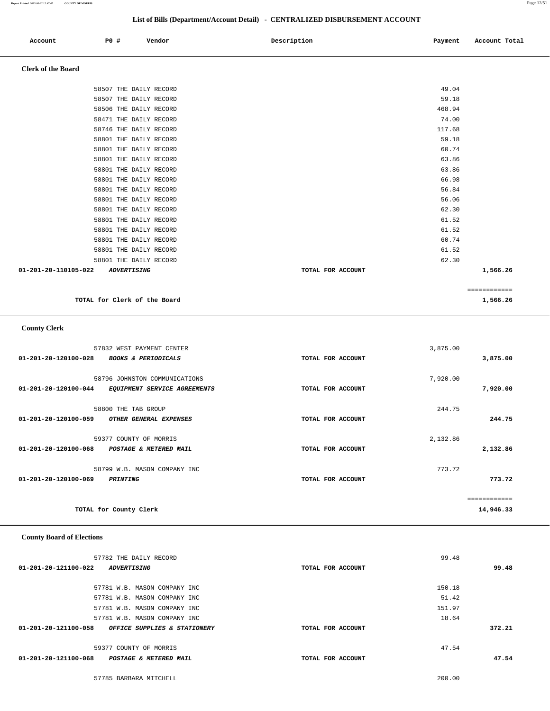| Account | <b>PO #</b> | Vendor | Description | Payment | Account Total |
|---------|-------------|--------|-------------|---------|---------------|
|         |             |        |             |         |               |

# **Clerk of the Board**

|                                                             |                   | ============ |
|-------------------------------------------------------------|-------------------|--------------|
| $01 - 201 - 20 - 110105 - 022$<br><i><b>ADVERTISING</b></i> | TOTAL FOR ACCOUNT | 1,566.26     |
| 58801 THE DAILY RECORD                                      |                   | 62.30        |
| 58801 THE DAILY RECORD                                      |                   | 61.52        |
| 58801 THE DAILY RECORD                                      |                   | 60.74        |
| 58801 THE DAILY RECORD                                      |                   | 61.52        |
| 58801 THE DAILY RECORD                                      |                   | 61.52        |
| 58801 THE DAILY RECORD                                      |                   | 62.30        |
| 58801 THE DAILY RECORD                                      |                   | 56.06        |
| 58801 THE DAILY RECORD                                      |                   | 56.84        |
| 58801 THE DAILY RECORD                                      |                   | 66.98        |
| 58801 THE DAILY RECORD                                      |                   | 63.86        |
| 58801 THE DAILY RECORD                                      |                   | 63.86        |
| 58801 THE DAILY RECORD                                      |                   | 60.74        |
| 58801 THE DAILY RECORD                                      |                   | 59.18        |
| 58746 THE DAILY RECORD                                      |                   | 117.68       |
| 58471 THE DAILY RECORD                                      |                   | 74.00        |
| 58506 THE DAILY RECORD                                      |                   | 468.94       |
| 58507 THE DAILY RECORD                                      |                   | 59.18        |
| 58507 THE DAILY RECORD                                      |                   | 49.04        |
|                                                             |                   |              |

**TOTAL for Clerk of the Board 1,566.26**

## **County Clerk**

| 57832 WEST PAYMENT CENTER                              |                   | 3,875.00 |              |
|--------------------------------------------------------|-------------------|----------|--------------|
| 01-201-20-120100-028<br><b>BOOKS &amp; PERIODICALS</b> | TOTAL FOR ACCOUNT |          | 3,875.00     |
|                                                        |                   |          |              |
| 58796 JOHNSTON COMMUNICATIONS                          |                   | 7,920.00 |              |
| 01-201-20-120100-044<br>EQUIPMENT SERVICE AGREEMENTS   | TOTAL FOR ACCOUNT |          | 7,920.00     |
|                                                        |                   |          |              |
| 58800 THE TAB GROUP                                    |                   | 244.75   |              |
| 01-201-20-120100-059<br>OTHER GENERAL EXPENSES         | TOTAL FOR ACCOUNT |          | 244.75       |
|                                                        |                   |          |              |
| 59377 COUNTY OF MORRIS                                 |                   | 2,132.86 |              |
| 01-201-20-120100-068<br>POSTAGE & METERED MAIL         | TOTAL FOR ACCOUNT |          | 2,132.86     |
|                                                        |                   |          |              |
| 58799 W.B. MASON COMPANY INC                           |                   | 773.72   |              |
| 01-201-20-120100-069<br><b>PRINTING</b>                | TOTAL FOR ACCOUNT |          | 773.72       |
|                                                        |                   |          |              |
|                                                        |                   |          | ============ |
| TOTAL for County Clerk                                 |                   |          | 14,946.33    |

### **County Board of Elections**

| 57782 THE DAILY RECORD                                      |                   | 99.48  |        |
|-------------------------------------------------------------|-------------------|--------|--------|
| $01 - 201 - 20 - 121100 - 022$<br><i><b>ADVERTISING</b></i> | TOTAL FOR ACCOUNT |        | 99.48  |
|                                                             |                   |        |        |
| 57781 W.B. MASON COMPANY INC                                |                   | 150.18 |        |
| 57781 W.B. MASON COMPANY INC                                |                   | 51.42  |        |
| 57781 W.B. MASON COMPANY INC                                |                   | 151.97 |        |
| 57781 W.B. MASON COMPANY INC                                |                   | 18.64  |        |
| 01-201-20-121100-058<br>OFFICE SUPPLIES & STATIONERY        | TOTAL FOR ACCOUNT |        | 372.21 |
|                                                             |                   |        |        |
| 59377 COUNTY OF MORRIS                                      |                   | 47.54  |        |
| 01-201-20-121100-068<br><b>POSTAGE &amp; METERED MAIL</b>   | TOTAL FOR ACCOUNT |        | 47.54  |
|                                                             |                   |        |        |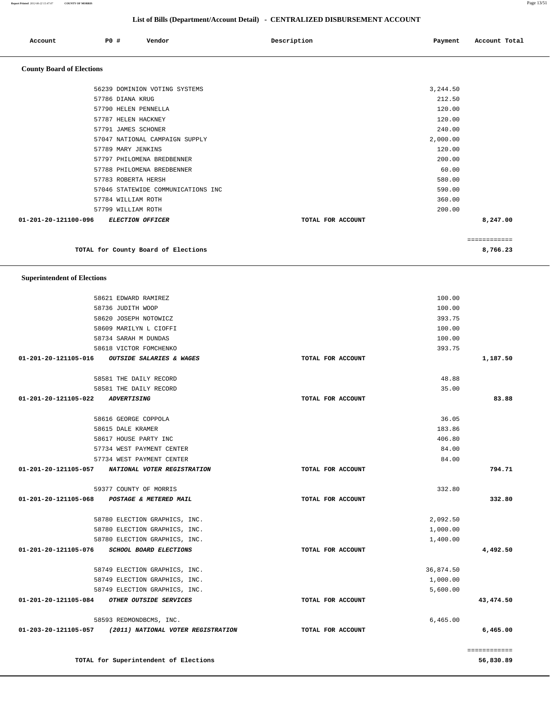### **Report Printed** *2012-06-22 15:47:07* **COUNTY OF MORRIS** Page 13/51

|                                  |                      |                                     | List of Bills (Department/Account Detail) - CENTRALIZED DISBURSEMENT ACCOUNT |          |               |
|----------------------------------|----------------------|-------------------------------------|------------------------------------------------------------------------------|----------|---------------|
| Account                          | P0 #                 | Vendor                              | Description                                                                  | Payment  | Account Total |
| <b>County Board of Elections</b> |                      |                                     |                                                                              |          |               |
|                                  |                      | 56239 DOMINION VOTING SYSTEMS       |                                                                              | 3,244.50 |               |
|                                  | 57786 DIANA KRUG     |                                     |                                                                              | 212.50   |               |
|                                  | 57790 HELEN PENNELLA |                                     |                                                                              | 120.00   |               |
|                                  | 57787 HELEN HACKNEY  |                                     |                                                                              | 120.00   |               |
|                                  | 57791 JAMES SCHONER  |                                     |                                                                              | 240.00   |               |
|                                  |                      | 57047 NATIONAL CAMPAIGN SUPPLY      |                                                                              | 2,000.00 |               |
|                                  | 57789 MARY JENKINS   |                                     |                                                                              | 120.00   |               |
|                                  |                      | 57797 PHILOMENA BREDBENNER          |                                                                              | 200.00   |               |
|                                  |                      | 57788 PHILOMENA BREDBENNER          |                                                                              | 60.00    |               |
|                                  | 57783 ROBERTA HERSH  |                                     |                                                                              | 580.00   |               |
|                                  |                      | 57046 STATEWIDE COMMUNICATIONS INC  |                                                                              | 590.00   |               |
|                                  | 57784 WILLIAM ROTH   |                                     |                                                                              | 360.00   |               |
|                                  | 57799 WILLIAM ROTH   |                                     |                                                                              | 200.00   |               |
| 01-201-20-121100-096             |                      | ELECTION OFFICER                    | TOTAL FOR ACCOUNT                                                            |          | 8,247.00      |
|                                  |                      |                                     |                                                                              |          | ============  |
|                                  |                      | TOTAL for County Board of Elections |                                                                              |          | 8,766.23      |

 **Superintendent of Elections**

|              | 100.00    |                   | 58621 EDWARD RAMIREZ                                    |                                  |
|--------------|-----------|-------------------|---------------------------------------------------------|----------------------------------|
|              | 100.00    |                   | 58736 JUDITH WOOP                                       |                                  |
|              | 393.75    |                   | 58620 JOSEPH NOTOWICZ                                   |                                  |
|              | 100.00    |                   | 58609 MARILYN L CIOFFI                                  |                                  |
|              | 100.00    |                   | 58734 SARAH M DUNDAS                                    |                                  |
|              | 393.75    |                   | 58618 VICTOR FOMCHENKO                                  |                                  |
| 1,187.50     |           | TOTAL FOR ACCOUNT | OUTSIDE SALARIES & WAGES                                | 01-201-20-121105-016             |
|              | 48.88     |                   | 58581 THE DAILY RECORD                                  |                                  |
|              | 35.00     |                   | 58581 THE DAILY RECORD                                  |                                  |
| 83.88        |           | TOTAL FOR ACCOUNT |                                                         | 01-201-20-121105-022 ADVERTISING |
|              | 36.05     |                   | 58616 GEORGE COPPOLA                                    |                                  |
|              | 183.86    |                   | 58615 DALE KRAMER                                       |                                  |
|              | 406.80    |                   | 58617 HOUSE PARTY INC                                   |                                  |
|              | 84.00     |                   | 57734 WEST PAYMENT CENTER                               |                                  |
|              | 84.00     |                   | 57734 WEST PAYMENT CENTER                               |                                  |
| 794.71       |           | TOTAL FOR ACCOUNT | 01-201-20-121105-057 NATIONAL VOTER REGISTRATION        |                                  |
|              | 332.80    |                   | 59377 COUNTY OF MORRIS                                  |                                  |
| 332.80       |           | TOTAL FOR ACCOUNT | 01-201-20-121105-068 POSTAGE & METERED MAIL             |                                  |
|              | 2,092.50  |                   | 58780 ELECTION GRAPHICS, INC.                           |                                  |
|              | 1,000.00  |                   | 58780 ELECTION GRAPHICS, INC.                           |                                  |
|              | 1,400.00  |                   | 58780 ELECTION GRAPHICS, INC.                           |                                  |
| 4,492.50     |           | TOTAL FOR ACCOUNT | 01-201-20-121105-076 SCHOOL BOARD ELECTIONS             |                                  |
|              | 36,874.50 |                   | 58749 ELECTION GRAPHICS, INC.                           |                                  |
|              | 1,000.00  |                   | 58749 ELECTION GRAPHICS, INC.                           |                                  |
|              | 5,600.00  |                   | 58749 ELECTION GRAPHICS, INC.                           |                                  |
| 43,474.50    |           | TOTAL FOR ACCOUNT | 01-201-20-121105-084 OTHER OUTSIDE SERVICES             |                                  |
|              | 6,465.00  |                   | 58593 REDMONDBCMS, INC.                                 |                                  |
| 6,465.00     |           | TOTAL FOR ACCOUNT | 01-203-20-121105-057 (2011) NATIONAL VOTER REGISTRATION |                                  |
| ============ |           |                   |                                                         |                                  |
| 56,830.89    |           |                   | TOTAL for Superintendent of Elections                   |                                  |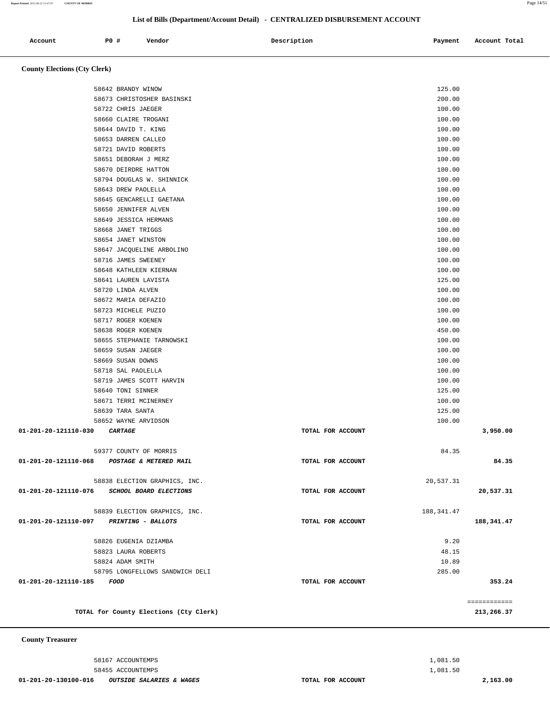58455 ACCOUNTEMPS 1,081.50

 **01-201-20-130100-016 OUTSIDE SALARIES & WAGES TOTAL FOR ACCOUNT 2,163.00**

58167 ACCOUNTEMPS 1,081.50

**County** 

|                                             | TOTAL for County Elections (Cty Clerk)    |                   |                  | ============<br>213,266.37 |
|---------------------------------------------|-------------------------------------------|-------------------|------------------|----------------------------|
| 01-201-20-121110-185                        | FOOD                                      | TOTAL FOR ACCOUNT |                  | 353.24                     |
|                                             | 58795 LONGFELLOWS SANDWICH DELI           |                   | 285.00           |                            |
|                                             | 58824 ADAM SMITH                          |                   | 10.89            |                            |
|                                             | 58823 LAURA ROBERTS                       |                   | 48.15            |                            |
|                                             | 58826 EUGENIA DZIAMBA                     |                   | 9.20             |                            |
|                                             |                                           |                   |                  |                            |
| 01-201-20-121110-097 PRINTING - BALLOTS     |                                           | TOTAL FOR ACCOUNT |                  | 188,341.47                 |
|                                             | 58839 ELECTION GRAPHICS, INC.             |                   | 188, 341.47      |                            |
| 01-201-20-121110-076 SCHOOL BOARD ELECTIONS |                                           | TOTAL FOR ACCOUNT |                  | 20,537.31                  |
|                                             | 58838 ELECTION GRAPHICS, INC.             |                   | 20,537.31        |                            |
| 01-201-20-121110-068                        | POSTAGE & METERED MAIL                    | TOTAL FOR ACCOUNT |                  | 84.35                      |
|                                             | 59377 COUNTY OF MORRIS                    |                   | 84.35            |                            |
| 01-201-20-121110-030                        | CARTAGE                                   | TOTAL FOR ACCOUNT |                  | 3,950.00                   |
|                                             | 58652 WAYNE ARVIDSON                      |                   | 100.00           |                            |
|                                             | 58639 TARA SANTA                          |                   | 125.00           |                            |
|                                             | 58671 TERRI MCINERNEY                     |                   | 100.00           |                            |
|                                             | 58640 TONI SINNER                         |                   | 125.00           |                            |
|                                             | 58719 JAMES SCOTT HARVIN                  |                   | 100.00           |                            |
|                                             | 58718 SAL PAOLELLA                        |                   | 100.00           |                            |
|                                             | 58669 SUSAN DOWNS                         |                   | 100.00           |                            |
|                                             | 58659 SUSAN JAEGER                        |                   | 100.00           |                            |
|                                             | 58655 STEPHANIE TARNOWSKI                 |                   | 100.00           |                            |
|                                             | 58638 ROGER KOENEN                        |                   | 450.00           |                            |
|                                             | 58723 MICHELE PUZIO<br>58717 ROGER KOENEN |                   | 100.00<br>100.00 |                            |
|                                             | 58672 MARIA DEFAZIO                       |                   | 100.00           |                            |
|                                             | 58720 LINDA ALVEN                         |                   | 100.00           |                            |
|                                             | 58641 LAUREN LAVISTA                      |                   | 125.00           |                            |
|                                             | 58648 KATHLEEN KIERNAN                    |                   | 100.00           |                            |
|                                             | 58716 JAMES SWEENEY                       |                   | 100.00           |                            |
|                                             | 58647 JACQUELINE ARBOLINO                 |                   | 100.00           |                            |
|                                             | 58654 JANET WINSTON                       |                   | 100.00           |                            |
|                                             | 58668 JANET TRIGGS                        |                   | 100.00           |                            |
|                                             | 58649 JESSICA HERMANS                     |                   | 100.00           |                            |
|                                             | 58650 JENNIFER ALVEN                      |                   | 100.00           |                            |
|                                             | 58645 GENCARELLI GAETANA                  |                   | 100.00           |                            |
|                                             | 58643 DREW PAOLELLA                       |                   | 100.00           |                            |

 **County Elections (Cty Clerk)**

|         |     | List of Bills (Department/Account Detail) - CENTRALIZED DISBURSEMENT ACCOUNT |             |         |               |
|---------|-----|------------------------------------------------------------------------------|-------------|---------|---------------|
|         |     |                                                                              |             |         |               |
| Account | PO# | Vendor                                                                       | Description | Payment | Account Total |

 58642 BRANDY WINOW 125.00 58673 CHRISTOSHER BASINSKI 200.00 58722 CHRIS JAEGER 100.00 58660 CLAIRE TROGANI 100.00 58644 DAVID T. KING 100.00 58653 DARREN CALLEO 100.00 58721 DAVID ROBERTS 100.00 58651 DEBORAH J MERZ 100.00 58670 DEIRDRE HATTON 100.00 58794 DOUGLAS W. SHINNICK 100.00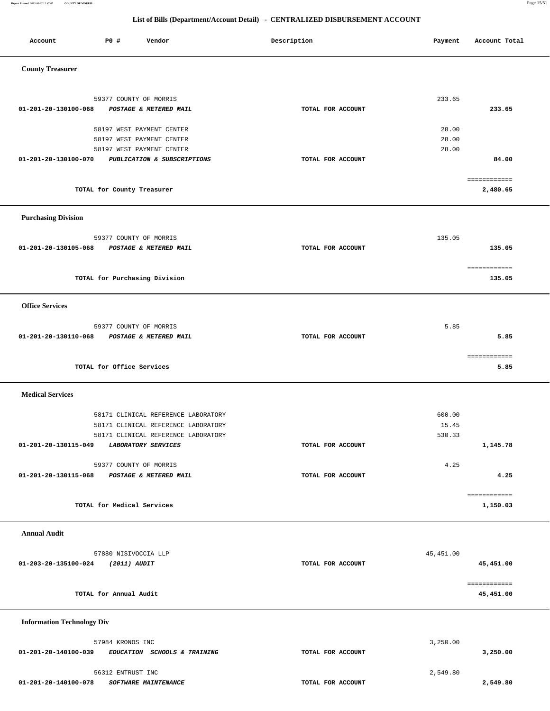**Report Printed** *2012-06-22 15:47:07* **COUNTY OF MORRIS** Page 15/51

| Account                           | P0 #                          | Vendor                                                   | Description       | Payment    | Account Total             |
|-----------------------------------|-------------------------------|----------------------------------------------------------|-------------------|------------|---------------------------|
| <b>County Treasurer</b>           |                               |                                                          |                   |            |                           |
| 01-201-20-130100-068              | 59377 COUNTY OF MORRIS        | POSTAGE & METERED MAIL                                   | TOTAL FOR ACCOUNT | 233.65     | 233.65                    |
|                                   |                               |                                                          |                   |            |                           |
|                                   |                               | 58197 WEST PAYMENT CENTER                                |                   | 28.00      |                           |
|                                   |                               | 58197 WEST PAYMENT CENTER                                |                   | 28.00      |                           |
|                                   |                               | 58197 WEST PAYMENT CENTER<br>PUBLICATION & SUBSCRIPTIONS | TOTAL FOR ACCOUNT | 28.00      |                           |
| 01-201-20-130100-070              |                               |                                                          |                   |            | 84.00                     |
|                                   | TOTAL for County Treasurer    |                                                          |                   |            | ============<br>2,480.65  |
| <b>Purchasing Division</b>        |                               |                                                          |                   |            |                           |
|                                   | 59377 COUNTY OF MORRIS        |                                                          |                   | 135.05     |                           |
| 01-201-20-130105-068              |                               | POSTAGE & METERED MAIL                                   | TOTAL FOR ACCOUNT |            | 135.05                    |
|                                   | TOTAL for Purchasing Division |                                                          |                   |            | ============<br>135.05    |
| <b>Office Services</b>            |                               |                                                          |                   |            |                           |
|                                   | 59377 COUNTY OF MORRIS        |                                                          |                   | 5.85       |                           |
| 01-201-20-130110-068              |                               | POSTAGE & METERED MAIL                                   | TOTAL FOR ACCOUNT |            | 5.85                      |
|                                   |                               |                                                          |                   |            | ============              |
|                                   | TOTAL for Office Services     |                                                          |                   |            | 5.85                      |
| <b>Medical Services</b>           |                               |                                                          |                   |            |                           |
|                                   |                               | 58171 CLINICAL REFERENCE LABORATORY                      |                   | 600.00     |                           |
|                                   |                               | 58171 CLINICAL REFERENCE LABORATORY                      |                   | 15.45      |                           |
|                                   |                               | 58171 CLINICAL REFERENCE LABORATORY                      |                   | 530.33     |                           |
| 01-201-20-130115-049              |                               | LABORATORY SERVICES                                      | TOTAL FOR ACCOUNT |            | 1,145.78                  |
|                                   | 59377 COUNTY OF MORRIS        |                                                          |                   | 4.25       |                           |
| 01-201-20-130115-068              |                               | POSTAGE & METERED MAIL                                   | TOTAL FOR ACCOUNT |            | 4.25                      |
|                                   |                               |                                                          |                   |            |                           |
|                                   | TOTAL for Medical Services    |                                                          |                   |            | ============<br>1,150.03  |
| <b>Annual Audit</b>               |                               |                                                          |                   |            |                           |
|                                   | 57880 NISIVOCCIA LLP          |                                                          |                   | 45, 451.00 |                           |
| 01-203-20-135100-024              | (2011) AUDIT                  |                                                          | TOTAL FOR ACCOUNT |            | 45,451.00                 |
|                                   | TOTAL for Annual Audit        |                                                          |                   |            | ============<br>45,451.00 |
| <b>Information Technology Div</b> |                               |                                                          |                   |            |                           |
|                                   | 57984 KRONOS INC              |                                                          |                   | 3,250.00   |                           |
| 01-201-20-140100-039              |                               | EDUCATION SCHOOLS & TRAINING                             | TOTAL FOR ACCOUNT |            | 3,250.00                  |
|                                   | 56312 ENTRUST INC             |                                                          |                   | 2,549.80   |                           |
| 01-201-20-140100-078              |                               | SOFTWARE MAINTENANCE                                     | TOTAL FOR ACCOUNT |            | 2,549.80                  |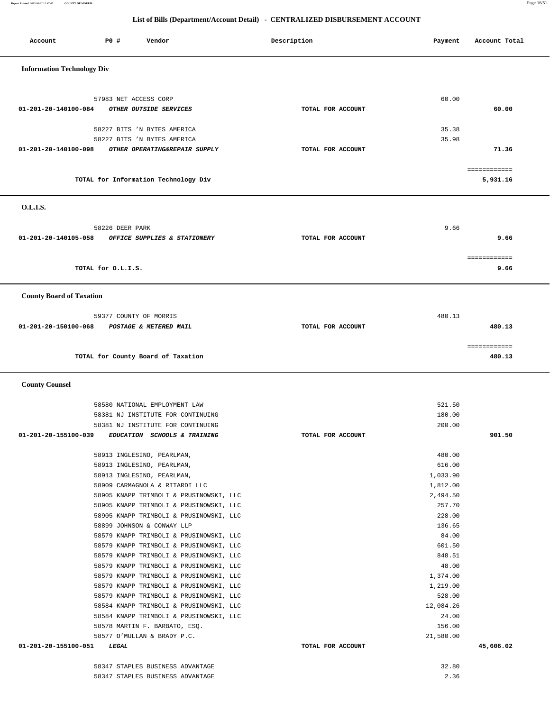**Report Printed** *2012-06-22 15:47:07* **COUNTY OF MORRIS** Page 16/51

| Account                           | P0 #                  | Vendor                                                                                                                                                                                                                                                                                                                                                                                                                                                                                                                                                                                                                                                                                                                       | Description       | Payment                                                                                                                                                                                       | Account Total          |
|-----------------------------------|-----------------------|------------------------------------------------------------------------------------------------------------------------------------------------------------------------------------------------------------------------------------------------------------------------------------------------------------------------------------------------------------------------------------------------------------------------------------------------------------------------------------------------------------------------------------------------------------------------------------------------------------------------------------------------------------------------------------------------------------------------------|-------------------|-----------------------------------------------------------------------------------------------------------------------------------------------------------------------------------------------|------------------------|
| <b>Information Technology Div</b> |                       |                                                                                                                                                                                                                                                                                                                                                                                                                                                                                                                                                                                                                                                                                                                              |                   |                                                                                                                                                                                               |                        |
| 01-201-20-140100-084              | 57983 NET ACCESS CORP | OTHER OUTSIDE SERVICES                                                                                                                                                                                                                                                                                                                                                                                                                                                                                                                                                                                                                                                                                                       | TOTAL FOR ACCOUNT | 60.00                                                                                                                                                                                         | 60.00                  |
|                                   |                       | 58227 BITS 'N BYTES AMERICA<br>58227 BITS 'N BYTES AMERICA                                                                                                                                                                                                                                                                                                                                                                                                                                                                                                                                                                                                                                                                   |                   | 35.38<br>35.98                                                                                                                                                                                |                        |
| 01-201-20-140100-098              |                       | OTHER OPERATING&REPAIR SUPPLY                                                                                                                                                                                                                                                                                                                                                                                                                                                                                                                                                                                                                                                                                                | TOTAL FOR ACCOUNT |                                                                                                                                                                                               | 71.36<br>============  |
|                                   |                       | TOTAL for Information Technology Div                                                                                                                                                                                                                                                                                                                                                                                                                                                                                                                                                                                                                                                                                         |                   |                                                                                                                                                                                               | 5,931.16               |
| O.L.I.S.                          |                       |                                                                                                                                                                                                                                                                                                                                                                                                                                                                                                                                                                                                                                                                                                                              |                   |                                                                                                                                                                                               |                        |
| 01-201-20-140105-058              | 58226 DEER PARK       | OFFICE SUPPLIES & STATIONERY                                                                                                                                                                                                                                                                                                                                                                                                                                                                                                                                                                                                                                                                                                 | TOTAL FOR ACCOUNT | 9.66                                                                                                                                                                                          | 9.66                   |
|                                   | TOTAL for O.L.I.S.    |                                                                                                                                                                                                                                                                                                                                                                                                                                                                                                                                                                                                                                                                                                                              |                   |                                                                                                                                                                                               | ============<br>9.66   |
| <b>County Board of Taxation</b>   |                       |                                                                                                                                                                                                                                                                                                                                                                                                                                                                                                                                                                                                                                                                                                                              |                   |                                                                                                                                                                                               |                        |
| 01-201-20-150100-068              |                       | 59377 COUNTY OF MORRIS<br>POSTAGE & METERED MAIL                                                                                                                                                                                                                                                                                                                                                                                                                                                                                                                                                                                                                                                                             | TOTAL FOR ACCOUNT | 480.13                                                                                                                                                                                        | 480.13                 |
|                                   |                       | TOTAL for County Board of Taxation                                                                                                                                                                                                                                                                                                                                                                                                                                                                                                                                                                                                                                                                                           |                   |                                                                                                                                                                                               | ============<br>480.13 |
| <b>County Counsel</b>             |                       |                                                                                                                                                                                                                                                                                                                                                                                                                                                                                                                                                                                                                                                                                                                              |                   |                                                                                                                                                                                               |                        |
|                                   |                       | 58580 NATIONAL EMPLOYMENT LAW<br>58381 NJ INSTITUTE FOR CONTINUING<br>58381 NJ INSTITUTE FOR CONTINUING                                                                                                                                                                                                                                                                                                                                                                                                                                                                                                                                                                                                                      |                   | 521.50<br>180.00<br>200.00                                                                                                                                                                    |                        |
| 01-201-20-155100-039              |                       | EDUCATION SCHOOLS & TRAINING                                                                                                                                                                                                                                                                                                                                                                                                                                                                                                                                                                                                                                                                                                 | TOTAL FOR ACCOUNT |                                                                                                                                                                                               | 901.50                 |
|                                   |                       | 58913 INGLESINO, PEARLMAN,<br>58913 INGLESINO, PEARLMAN,<br>58909 CARMAGNOLA & RITARDI LLC<br>58905 KNAPP TRIMBOLI & PRUSINOWSKI, LLC<br>58905 KNAPP TRIMBOLI & PRUSINOWSKI, LLC<br>58905 KNAPP TRIMBOLI & PRUSINOWSKI, LLC<br>58899 JOHNSON & CONWAY LLP<br>58579 KNAPP TRIMBOLI & PRUSINOWSKI, LLC<br>58579 KNAPP TRIMBOLI & PRUSINOWSKI, LLC<br>58579 KNAPP TRIMBOLI & PRUSINOWSKI, LLC<br>58579 KNAPP TRIMBOLI & PRUSINOWSKI, LLC<br>58579 KNAPP TRIMBOLI & PRUSINOWSKI, LLC<br>58579 KNAPP TRIMBOLI & PRUSINOWSKI, LLC<br>58579 KNAPP TRIMBOLI & PRUSINOWSKI, LLC<br>58584 KNAPP TRIMBOLI & PRUSINOWSKI, LLC<br>58584 KNAPP TRIMBOLI & PRUSINOWSKI, LLC<br>58578 MARTIN F. BARBATO, ESQ.<br>58577 O'MULLAN & BRADY P.C. |                   | 616.00<br>1,033.90<br>1,812.00<br>2,494.50<br>257.70<br>228.00<br>136.65<br>84.00<br>601.50<br>848.51<br>48.00<br>1,374.00<br>1,219.00<br>528.00<br>12,084.26<br>24.00<br>156.00<br>21,580.00 |                        |
| 01-201-20-155100-051              | <i><b>LEGAL</b></i>   |                                                                                                                                                                                                                                                                                                                                                                                                                                                                                                                                                                                                                                                                                                                              | TOTAL FOR ACCOUNT |                                                                                                                                                                                               | 45,606.02              |
|                                   |                       | 58347 STAPLES BUSINESS ADVANTAGE<br>58347 STAPLES BUSINESS ADVANTAGE                                                                                                                                                                                                                                                                                                                                                                                                                                                                                                                                                                                                                                                         |                   | 32.80<br>2.36                                                                                                                                                                                 |                        |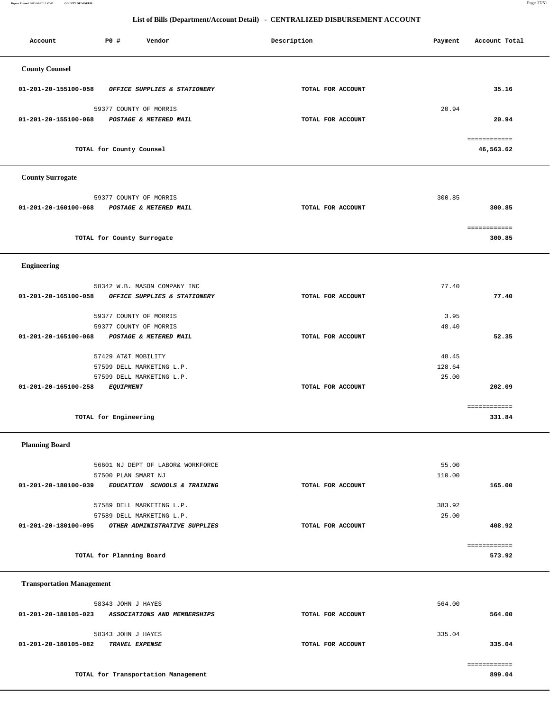**Report Printed** *2012-06-22 15:47:07* **COUNTY OF MORRIS** Page 17/51

# **List of Bills (Department/Account Detail) - CENTRALIZED DISBURSEMENT ACCOUNT**

| Account                          | PO#<br>Vendor                                                                                           | Description       | Payment                  | Account Total             |
|----------------------------------|---------------------------------------------------------------------------------------------------------|-------------------|--------------------------|---------------------------|
| <b>County Counsel</b>            |                                                                                                         |                   |                          |                           |
| 01-201-20-155100-058             | OFFICE SUPPLIES & STATIONERY                                                                            | TOTAL FOR ACCOUNT |                          | 35.16                     |
| 01-201-20-155100-068             | 59377 COUNTY OF MORRIS<br>POSTAGE & METERED MAIL                                                        | TOTAL FOR ACCOUNT | 20.94                    | 20.94                     |
|                                  | TOTAL for County Counsel                                                                                |                   |                          | ============<br>46,563.62 |
| <b>County Surrogate</b>          |                                                                                                         |                   |                          |                           |
| 01-201-20-160100-068             | 59377 COUNTY OF MORRIS<br>POSTAGE & METERED MAIL                                                        | TOTAL FOR ACCOUNT | 300.85                   | 300.85                    |
|                                  | TOTAL for County Surrogate                                                                              |                   |                          | ============<br>300.85    |
| <b>Engineering</b>               |                                                                                                         |                   |                          |                           |
| 01-201-20-165100-058             | 58342 W.B. MASON COMPANY INC<br>OFFICE SUPPLIES & STATIONERY                                            | TOTAL FOR ACCOUNT | 77.40                    | 77.40                     |
|                                  | 59377 COUNTY OF MORRIS<br>59377 COUNTY OF MORRIS                                                        |                   | 3.95<br>48.40            |                           |
| 01-201-20-165100-068             | POSTAGE & METERED MAIL<br>57429 AT&T MOBILITY<br>57599 DELL MARKETING L.P.<br>57599 DELL MARKETING L.P. | TOTAL FOR ACCOUNT | 48.45<br>128.64<br>25.00 | 52.35                     |
| 01-201-20-165100-258             | <b>EQUIPMENT</b>                                                                                        | TOTAL FOR ACCOUNT |                          | 202.09<br>============    |
|                                  | TOTAL for Engineering                                                                                   |                   |                          | 331.84                    |
| <b>Planning Board</b>            |                                                                                                         |                   |                          |                           |
| 01-201-20-180100-039             | 56601 NJ DEPT OF LABOR& WORKFORCE<br>57500 PLAN SMART NJ<br>EDUCATION SCHOOLS & TRAINING                | TOTAL FOR ACCOUNT | 55.00<br>110.00          | 165.00                    |
| 01-201-20-180100-095             | 57589 DELL MARKETING L.P.<br>57589 DELL MARKETING L.P.<br>OTHER ADMINISTRATIVE SUPPLIES                 | TOTAL FOR ACCOUNT | 383.92<br>25.00          | 408.92                    |
|                                  | TOTAL for Planning Board                                                                                |                   |                          | ============<br>573.92    |
| <b>Transportation Management</b> |                                                                                                         |                   |                          |                           |
| 01-201-20-180105-023             | 58343 JOHN J HAYES<br>ASSOCIATIONS AND MEMBERSHIPS                                                      | TOTAL FOR ACCOUNT | 564.00                   | 564.00                    |

 58343 JOHN J HAYES 335.04  **01-201-20-180105-082 TRAVEL EXPENSE TOTAL FOR ACCOUNT 335.04**

 ============ **TOTAL for Transportation Management 899.04**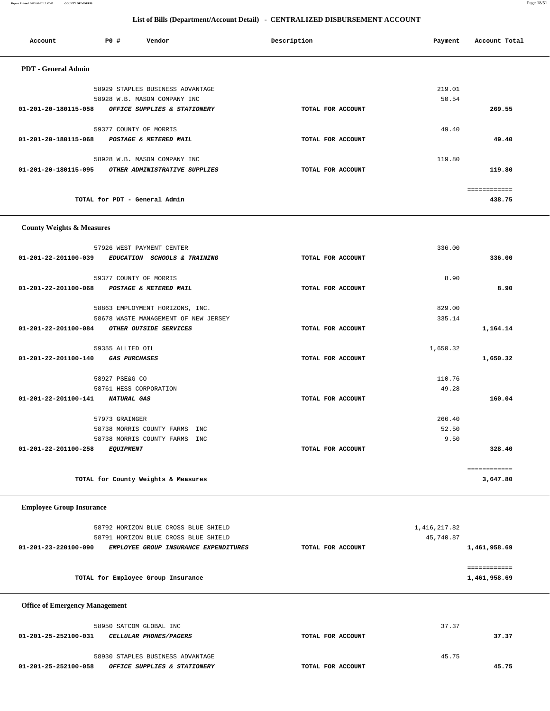| <b>PDT</b> - General Admin            |                                                                              |                   |                             |              |  |
|---------------------------------------|------------------------------------------------------------------------------|-------------------|-----------------------------|--------------|--|
|                                       | 58929 STAPLES BUSINESS ADVANTAGE                                             |                   | 219.01                      |              |  |
|                                       | 58928 W.B. MASON COMPANY INC                                                 |                   | 50.54                       |              |  |
| 01-201-20-180115-058                  | OFFICE SUPPLIES & STATIONERY                                                 | TOTAL FOR ACCOUNT |                             | 269.55       |  |
|                                       |                                                                              |                   |                             |              |  |
|                                       | 59377 COUNTY OF MORRIS                                                       |                   | 49.40                       |              |  |
| 01-201-20-180115-068                  | POSTAGE & METERED MAIL                                                       | TOTAL FOR ACCOUNT |                             | 49.40        |  |
|                                       | 58928 W.B. MASON COMPANY INC                                                 |                   | 119.80                      |              |  |
| 01-201-20-180115-095                  | OTHER ADMINISTRATIVE SUPPLIES                                                | TOTAL FOR ACCOUNT |                             | 119.80       |  |
|                                       |                                                                              |                   |                             |              |  |
|                                       |                                                                              |                   |                             | ============ |  |
|                                       | TOTAL for PDT - General Admin                                                |                   |                             | 438.75       |  |
|                                       |                                                                              |                   |                             |              |  |
| <b>County Weights &amp; Measures</b>  |                                                                              |                   |                             |              |  |
|                                       |                                                                              |                   |                             |              |  |
|                                       | 57926 WEST PAYMENT CENTER                                                    |                   | 336.00                      |              |  |
| 01-201-22-201100-039                  | EDUCATION SCHOOLS & TRAINING                                                 | TOTAL FOR ACCOUNT |                             | 336.00       |  |
|                                       |                                                                              |                   | 8.90                        |              |  |
| 01-201-22-201100-068                  | 59377 COUNTY OF MORRIS<br>POSTAGE & METERED MAIL                             | TOTAL FOR ACCOUNT |                             | 8.90         |  |
|                                       |                                                                              |                   |                             |              |  |
|                                       | 58863 EMPLOYMENT HORIZONS, INC.                                              |                   | 829.00                      |              |  |
|                                       | 58678 WASTE MANAGEMENT OF NEW JERSEY                                         |                   | 335.14                      |              |  |
|                                       | 01-201-22-201100-084 OTHER OUTSIDE SERVICES                                  | TOTAL FOR ACCOUNT |                             | 1,164.14     |  |
|                                       |                                                                              |                   |                             |              |  |
| 01-201-22-201100-140                  | 59355 ALLIED OIL<br><i><b>GAS PURCHASES</b></i>                              | TOTAL FOR ACCOUNT | 1,650.32                    | 1,650.32     |  |
|                                       |                                                                              |                   |                             |              |  |
|                                       | 58927 PSE&G CO                                                               |                   | 110.76                      |              |  |
|                                       | 58761 HESS CORPORATION                                                       |                   | 49.28                       |              |  |
| 01-201-22-201100-141 NATURAL GAS      |                                                                              | TOTAL FOR ACCOUNT |                             | 160.04       |  |
|                                       | 57973 GRAINGER                                                               |                   | 266.40                      |              |  |
|                                       | 58738 MORRIS COUNTY FARMS INC                                                |                   | 52.50                       |              |  |
|                                       | 58738 MORRIS COUNTY FARMS INC                                                |                   | 9.50                        |              |  |
| 01-201-22-201100-258                  | <b>EQUIPMENT</b>                                                             | TOTAL FOR ACCOUNT |                             | 328.40       |  |
|                                       |                                                                              |                   |                             |              |  |
|                                       |                                                                              |                   |                             | ============ |  |
|                                       | TOTAL for County Weights & Measures                                          |                   |                             | 3,647.80     |  |
|                                       |                                                                              |                   |                             |              |  |
| <b>Employee Group Insurance</b>       |                                                                              |                   |                             |              |  |
|                                       |                                                                              |                   |                             |              |  |
|                                       | 58792 HORIZON BLUE CROSS BLUE SHIELD<br>58791 HORIZON BLUE CROSS BLUE SHIELD |                   | 1, 416, 217.82<br>45,740.87 |              |  |
| $01 - 201 - 23 - 220100 - 090$        | EMPLOYEE GROUP INSURANCE EXPENDITURES                                        | TOTAL FOR ACCOUNT |                             | 1,461,958.69 |  |
|                                       |                                                                              |                   |                             |              |  |
|                                       |                                                                              |                   |                             | ============ |  |
|                                       | TOTAL for Employee Group Insurance                                           |                   |                             | 1,461,958.69 |  |
|                                       |                                                                              |                   |                             |              |  |
| <b>Office of Emergency Management</b> |                                                                              |                   |                             |              |  |
|                                       |                                                                              |                   |                             |              |  |
|                                       | 58950 SATCOM GLOBAL INC                                                      |                   | 37.37                       |              |  |
| 01-201-25-252100-031                  | CELLULAR PHONES/PAGERS                                                       | TOTAL FOR ACCOUNT |                             | 37.37        |  |
|                                       | 58930 STAPLES BUSINESS ADVANTAGE                                             |                   | 45.75                       |              |  |
| 01-201-25-252100-058                  | OFFICE SUPPLIES & STATIONERY                                                 | TOTAL FOR ACCOUNT |                             | 45.75        |  |
|                                       |                                                                              |                   |                             |              |  |
|                                       |                                                                              |                   |                             |              |  |

Account P0 **#** Vendor **Description** Description Payment Account Total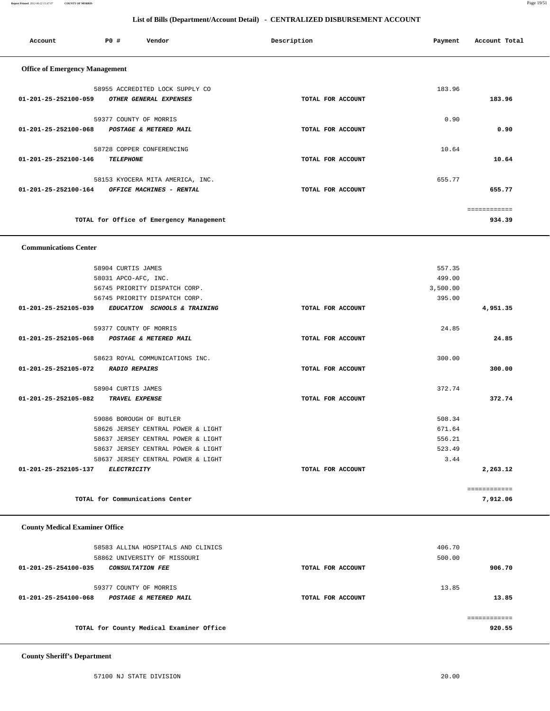**Report Printed** *2012-06-22 15:47:07* **COUNTY OF MORRIS** Page 19/51

# **List of Bills (Department/Account Detail) - CENTRALIZED DISBURSEMENT ACCOUNT**

| P0 #<br>Account                       | Vendor                                                       | Description       | Payment        | Account Total |
|---------------------------------------|--------------------------------------------------------------|-------------------|----------------|---------------|
| <b>Office of Emergency Management</b> |                                                              |                   |                |               |
|                                       | 58955 ACCREDITED LOCK SUPPLY CO                              |                   | 183.96         |               |
| 01-201-25-252100-059                  | OTHER GENERAL EXPENSES                                       | TOTAL FOR ACCOUNT |                | 183.96        |
|                                       |                                                              |                   |                |               |
|                                       | 59377 COUNTY OF MORRIS                                       |                   | 0.90           |               |
| 01-201-25-252100-068                  | POSTAGE & METERED MAIL                                       | TOTAL FOR ACCOUNT |                | 0.90          |
|                                       | 58728 COPPER CONFERENCING                                    |                   | 10.64          |               |
| 01-201-25-252100-146                  | <b>TELEPHONE</b>                                             | TOTAL FOR ACCOUNT |                | 10.64         |
|                                       |                                                              |                   |                |               |
| 01-201-25-252100-164                  | 58153 KYOCERA MITA AMERICA, INC.<br>OFFICE MACHINES - RENTAL | TOTAL FOR ACCOUNT | 655.77         | 655.77        |
|                                       |                                                              |                   |                |               |
|                                       |                                                              |                   |                | ------------  |
|                                       | TOTAL for Office of Emergency Management                     |                   |                | 934.39        |
|                                       |                                                              |                   |                |               |
| <b>Communications Center</b>          |                                                              |                   |                |               |
|                                       | 58904 CURTIS JAMES                                           |                   | 557.35         |               |
|                                       | 58031 APCO-AFC, INC.                                         |                   | 499.00         |               |
|                                       | 56745 PRIORITY DISPATCH CORP.                                |                   | 3,500.00       |               |
|                                       | 56745 PRIORITY DISPATCH CORP.                                |                   | 395.00         |               |
| 01-201-25-252105-039                  | EDUCATION SCHOOLS & TRAINING                                 | TOTAL FOR ACCOUNT |                | 4,951.35      |
|                                       | 59377 COUNTY OF MORRIS                                       |                   | 24.85          |               |
| 01-201-25-252105-068                  | POSTAGE & METERED MAIL                                       | TOTAL FOR ACCOUNT |                | 24.85         |
|                                       |                                                              |                   |                |               |
|                                       | 58623 ROYAL COMMUNICATIONS INC.                              |                   | 300.00         |               |
| 01-201-25-252105-072                  | <b>RADIO REPAIRS</b>                                         | TOTAL FOR ACCOUNT |                | 300.00        |
|                                       | 58904 CURTIS JAMES                                           |                   | 372.74         |               |
| 01-201-25-252105-082                  | TRAVEL EXPENSE                                               | TOTAL FOR ACCOUNT |                | 372.74        |
|                                       |                                                              |                   |                |               |
|                                       | 59086 BOROUGH OF BUTLER                                      |                   | 508.34         |               |
|                                       | 58626 JERSEY CENTRAL POWER & LIGHT                           |                   | 671.64         |               |
|                                       | 58637 JERSEY CENTRAL POWER & LIGHT                           |                   | 556.21         |               |
|                                       | 58637 JERSEY CENTRAL POWER & LIGHT                           |                   | 523.49<br>3.44 |               |
| 01-201-25-252105-137                  | 58637 JERSEY CENTRAL POWER & LIGHT<br>ELECTRICITY            | TOTAL FOR ACCOUNT |                | 2,263.12      |
|                                       |                                                              |                   |                |               |
|                                       |                                                              |                   |                | ============  |

**TOTAL for Communications Center 7,912.06**

### **County Medical Examiner Office**

| 58583 ALLINA HOSPITALS AND CLINICS              |                   | 406.70       |
|-------------------------------------------------|-------------------|--------------|
| 58862 UNIVERSITY OF MISSOURI                    |                   | 500.00       |
| 01-201-25-254100-035<br><b>CONSULTATION FEE</b> | TOTAL FOR ACCOUNT | 906.70       |
|                                                 |                   |              |
| 59377 COUNTY OF MORRIS                          |                   | 13.85        |
| 01-201-25-254100-068<br>POSTAGE & METERED MAIL  | TOTAL FOR ACCOUNT | 13.85        |
|                                                 |                   |              |
|                                                 |                   | ------------ |
| TOTAL for County Medical Examiner Office        |                   | 920.55       |
|                                                 |                   |              |

 **County Sheriff's Department**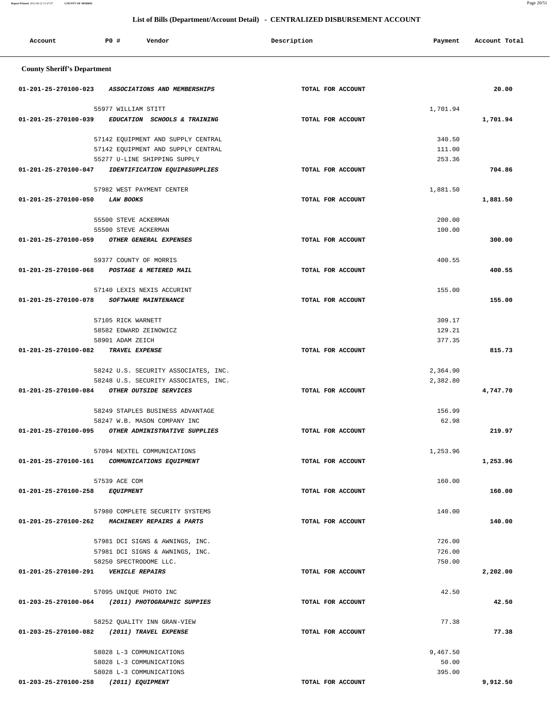| Account                                          | P0 #                                         | Vendor                                                                       | Description       | Payment              | Account Total |
|--------------------------------------------------|----------------------------------------------|------------------------------------------------------------------------------|-------------------|----------------------|---------------|
| <b>County Sheriff's Department</b>               |                                              |                                                                              |                   |                      |               |
| 01-201-25-270100-023                             |                                              | ASSOCIATIONS AND MEMBERSHIPS                                                 | TOTAL FOR ACCOUNT |                      | 20.00         |
|                                                  | 55977 WILLIAM STITT                          |                                                                              |                   | 1,701.94             |               |
| 01-201-25-270100-039                             |                                              | EDUCATION SCHOOLS & TRAINING                                                 | TOTAL FOR ACCOUNT |                      | 1,701.94      |
|                                                  |                                              |                                                                              |                   |                      |               |
|                                                  |                                              | 57142 EQUIPMENT AND SUPPLY CENTRAL                                           |                   | 340.50               |               |
|                                                  |                                              | 57142 EQUIPMENT AND SUPPLY CENTRAL                                           |                   | 111.00               |               |
| 01-201-25-270100-047                             |                                              | 55277 U-LINE SHIPPING SUPPLY<br>IDENTIFICATION EQUIP&SUPPLIES                | TOTAL FOR ACCOUNT | 253.36               | 704.86        |
|                                                  |                                              |                                                                              |                   |                      |               |
|                                                  |                                              | 57982 WEST PAYMENT CENTER                                                    |                   | 1,881.50             |               |
| 01-201-25-270100-050                             | LAW BOOKS                                    |                                                                              | TOTAL FOR ACCOUNT |                      | 1,881.50      |
|                                                  | 55500 STEVE ACKERMAN                         |                                                                              |                   | 200.00               |               |
|                                                  | 55500 STEVE ACKERMAN                         |                                                                              |                   | 100.00               |               |
| 01-201-25-270100-059                             |                                              | OTHER GENERAL EXPENSES                                                       | TOTAL FOR ACCOUNT |                      | 300.00        |
|                                                  |                                              |                                                                              |                   |                      |               |
|                                                  | 59377 COUNTY OF MORRIS                       |                                                                              |                   | 400.55               |               |
| 01-201-25-270100-068                             |                                              | POSTAGE & METERED MAIL                                                       | TOTAL FOR ACCOUNT |                      | 400.55        |
|                                                  |                                              | 57140 LEXIS NEXIS ACCURINT                                                   |                   | 155.00               |               |
| 01-201-25-270100-078                             |                                              | SOFTWARE MAINTENANCE                                                         | TOTAL FOR ACCOUNT |                      | 155.00        |
|                                                  |                                              |                                                                              |                   |                      |               |
|                                                  | 57105 RICK WARNETT<br>58582 EDWARD ZEINOWICZ |                                                                              |                   | 309.17<br>129.21     |               |
|                                                  | 58901 ADAM ZEICH                             |                                                                              |                   | 377.35               |               |
| 01-201-25-270100-082                             | TRAVEL EXPENSE                               |                                                                              | TOTAL FOR ACCOUNT |                      | 815.73        |
|                                                  |                                              |                                                                              |                   |                      |               |
|                                                  |                                              | 58242 U.S. SECURITY ASSOCIATES, INC.<br>58248 U.S. SECURITY ASSOCIATES, INC. |                   | 2,364.90<br>2,382.80 |               |
| 01-201-25-270100-084                             |                                              | OTHER OUTSIDE SERVICES                                                       | TOTAL FOR ACCOUNT |                      | 4,747.70      |
|                                                  |                                              |                                                                              |                   |                      |               |
|                                                  |                                              | 58249 STAPLES BUSINESS ADVANTAGE                                             |                   | 156.99               |               |
|                                                  |                                              | 58247 W.B. MASON COMPANY INC                                                 |                   | 62.98                |               |
| 01-201-25-270100-095                             |                                              | OTHER ADMINISTRATIVE SUPPLIES                                                | TOTAL FOR ACCOUNT |                      | 219.97        |
|                                                  |                                              | 57094 NEXTEL COMMUNICATIONS                                                  |                   | 1,253.96             |               |
| 01-201-25-270100-161                             |                                              | COMMUNICATIONS EQUIPMENT                                                     | TOTAL FOR ACCOUNT |                      | 1,253.96      |
|                                                  |                                              |                                                                              |                   |                      |               |
| 01-201-25-270100-258 EQUIPMENT                   | 57539 ACE COM                                |                                                                              | TOTAL FOR ACCOUNT | 160.00               | 160.00        |
|                                                  |                                              |                                                                              |                   |                      |               |
|                                                  |                                              | 57980 COMPLETE SECURITY SYSTEMS                                              |                   | 140.00               |               |
| 01-201-25-270100-262                             |                                              | MACHINERY REPAIRS & PARTS                                                    | TOTAL FOR ACCOUNT |                      | 140.00        |
|                                                  |                                              | 57981 DCI SIGNS & AWNINGS, INC.                                              |                   | 726.00               |               |
|                                                  |                                              | 57981 DCI SIGNS & AWNINGS, INC.                                              |                   | 726.00               |               |
|                                                  | 58250 SPECTRODOME LLC.                       |                                                                              |                   | 750.00               |               |
| 01-201-25-270100-291                             | <b>VEHICLE REPAIRS</b>                       |                                                                              | TOTAL FOR ACCOUNT |                      | 2,202.00      |
|                                                  |                                              |                                                                              |                   |                      |               |
| 01-203-25-270100-064 (2011) PHOTOGRAPHIC SUPPIES | 57095 UNIQUE PHOTO INC                       |                                                                              | TOTAL FOR ACCOUNT | 42.50                | 42.50         |
|                                                  |                                              |                                                                              |                   |                      |               |
|                                                  |                                              | 58252 QUALITY INN GRAN-VIEW                                                  |                   | 77.38                |               |
| 01-203-25-270100-082 (2011) TRAVEL EXPENSE       |                                              |                                                                              | TOTAL FOR ACCOUNT |                      | 77.38         |
|                                                  | 58028 L-3 COMMUNICATIONS                     |                                                                              |                   | 9,467.50             |               |
|                                                  | 58028 L-3 COMMUNICATIONS                     |                                                                              |                   | 50.00                |               |
|                                                  | 58028 L-3 COMMUNICATIONS                     |                                                                              |                   | 395.00               |               |

 **01-203-25-270100-258 (2011) EQUIPMENT TOTAL FOR ACCOUNT 9,912.50**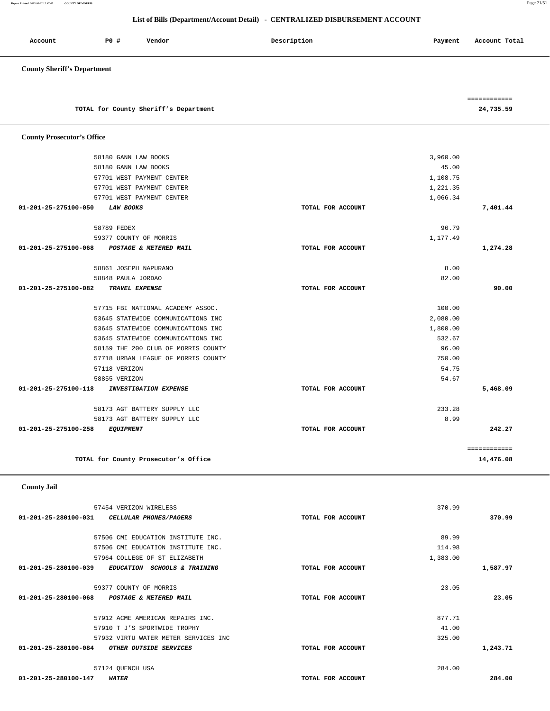|                                | 57454 VERIZON WIRELESS               |                   | 370.99   |          |
|--------------------------------|--------------------------------------|-------------------|----------|----------|
| 01-201-25-280100-031           | CELLULAR PHONES/PAGERS               | TOTAL FOR ACCOUNT |          | 370.99   |
|                                | 57506 CMI EDUCATION INSTITUTE INC.   |                   | 89.99    |          |
|                                | 57506 CMI EDUCATION INSTITUTE INC.   |                   | 114.98   |          |
|                                | 57964 COLLEGE OF ST ELIZABETH        |                   | 1,383.00 |          |
| $01 - 201 - 25 - 280100 - 039$ | EDUCATION SCHOOLS & TRAINING         | TOTAL FOR ACCOUNT |          | 1,587.97 |
|                                | 59377 COUNTY OF MORRIS               |                   | 23.05    |          |
| 01-201-25-280100-068           | POSTAGE & METERED MAIL               | TOTAL FOR ACCOUNT |          | 23.05    |
|                                | 57912 ACME AMERICAN REPAIRS INC.     |                   | 877.71   |          |
|                                | 57910 T J'S SPORTWIDE TROPHY         |                   | 41.00    |          |
|                                | 57932 VIRTU WATER METER SERVICES INC |                   | 325.00   |          |
| 01-201-25-280100-084           | OTHER OUTSIDE SERVICES               | TOTAL FOR ACCOUNT |          | 1,243.71 |
|                                | 57124 QUENCH USA                     |                   | 284.00   |          |
| 01-201-25-280100-147           | <b>WATER</b>                         | TOTAL FOR ACCOUNT |          | 284.00   |

 **County Jail** 

| 01-201-25-275100-050<br><b>LAW BOOKS</b>             | TOTAL FOR ACCOUNT |          | 7,401.44     |
|------------------------------------------------------|-------------------|----------|--------------|
| 58789 FEDEX                                          |                   | 96.79    |              |
| 59377 COUNTY OF MORRIS                               |                   | 1,177.49 |              |
| 01-201-25-275100-068<br>POSTAGE & METERED MAIL       | TOTAL FOR ACCOUNT |          | 1,274.28     |
| 58861 JOSEPH NAPURANO                                |                   | 8.00     |              |
| 58848 PAULA JORDAO                                   |                   | 82.00    |              |
| 01-201-25-275100-082<br>TRAVEL EXPENSE               | TOTAL FOR ACCOUNT |          | 90.00        |
| 57715 FBI NATIONAL ACADEMY ASSOC.                    |                   | 100.00   |              |
| 53645 STATEWIDE COMMUNICATIONS INC                   |                   | 2,080.00 |              |
| 53645 STATEWIDE COMMUNICATIONS INC                   |                   | 1,800.00 |              |
| 53645 STATEWIDE COMMUNICATIONS INC                   |                   | 532.67   |              |
| 58159 THE 200 CLUB OF MORRIS COUNTY                  |                   | 96.00    |              |
| 57718 URBAN LEAGUE OF MORRIS COUNTY                  |                   | 750.00   |              |
| 57118 VERIZON                                        |                   | 54.75    |              |
| 58855 VERIZON                                        |                   | 54.67    |              |
| 01-201-25-275100-118<br><b>INVESTIGATION EXPENSE</b> | TOTAL FOR ACCOUNT |          | 5,468.09     |
| 58173 AGT BATTERY SUPPLY LLC                         |                   | 233.28   |              |
| 58173 AGT BATTERY SUPPLY LLC                         |                   | 8.99     |              |
| 01-201-25-275100-258<br><b>EQUIPMENT</b>             | TOTAL FOR ACCOUNT |          | 242.27       |
|                                                      |                   |          | ============ |
| TOTAL for County Prosecutor's Office                 |                   |          | 14,476.08    |

|                                       | ============ |
|---------------------------------------|--------------|
| TOTAL for County Sheriff's Department | 24,735.59    |

 58180 GANN LAW BOOKS 3,960.00 58180 GANN LAW BOOKS 45.00 57701 WEST PAYMENT CENTER 1,108.75 57701 WEST PAYMENT CENTER 1,221.35 57701 WEST PAYMENT CENTER 1,066.34

### **County Sheriff's Department**

 **County Prosecutor's Office**

| Account | <b>PO #</b> | Vendor | Description | Payment | Account Total |  |
|---------|-------------|--------|-------------|---------|---------------|--|
|         |             |        |             |         |               |  |

# **List of Bills (Department/Account Detail) - CENTRALIZED DISBURSEMENT ACCOUNT**

**Report Printed** *2012-06-22 15:47:07* **COUNTY OF MORRIS** Page 21/51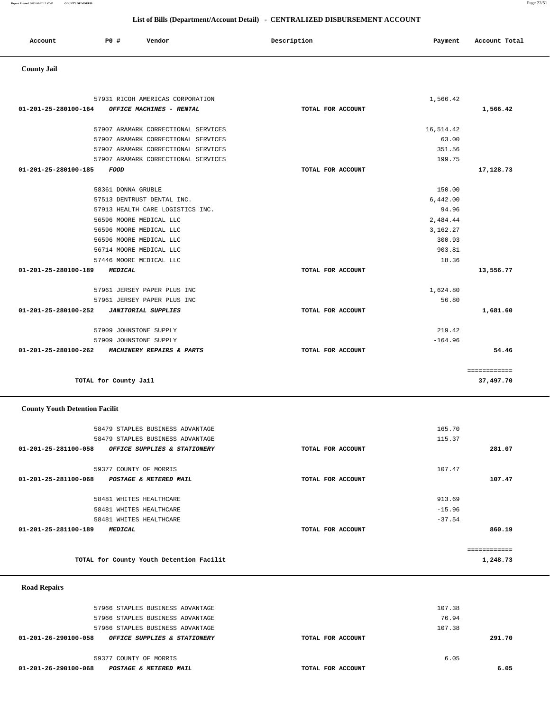| Account | P <sub>0</sub> | Vendor | Description | Payment | Account Total |
|---------|----------------|--------|-------------|---------|---------------|
|         |                |        |             |         |               |

# **County Jail**

| 57931 RICOH AMERICAS CORPORATION                   |                   | 1,566.42  |              |
|----------------------------------------------------|-------------------|-----------|--------------|
| 01-201-25-280100-164<br>OFFICE MACHINES - RENTAL   | TOTAL FOR ACCOUNT |           | 1,566.42     |
|                                                    |                   |           |              |
| 57907 ARAMARK CORRECTIONAL SERVICES                |                   | 16,514.42 |              |
| 57907 ARAMARK CORRECTIONAL SERVICES                |                   | 63.00     |              |
| 57907 ARAMARK CORRECTIONAL SERVICES                |                   | 351.56    |              |
| 57907 ARAMARK CORRECTIONAL SERVICES                |                   | 199.75    |              |
| 01-201-25-280100-185<br><b>FOOD</b>                | TOTAL FOR ACCOUNT |           | 17,128.73    |
| 58361 DONNA GRUBLE                                 |                   | 150.00    |              |
| 57513 DENTRUST DENTAL INC.                         |                   | 6,442.00  |              |
| 57913 HEALTH CARE LOGISTICS INC.                   |                   | 94.96     |              |
| 56596 MOORE MEDICAL LLC                            |                   | 2,484.44  |              |
| 56596 MOORE MEDICAL LLC                            |                   | 3,162.27  |              |
| 56596 MOORE MEDICAL LLC                            |                   | 300.93    |              |
| 56714 MOORE MEDICAL LLC                            |                   | 903.81    |              |
| 57446 MOORE MEDICAL LLC                            |                   | 18.36     |              |
| 01-201-25-280100-189<br><b>MEDICAL</b>             | TOTAL FOR ACCOUNT |           | 13,556.77    |
| 57961 JERSEY PAPER PLUS INC                        |                   | 1,624.80  |              |
| 57961 JERSEY PAPER PLUS INC                        |                   | 56.80     |              |
| 01-201-25-280100-252<br><b>JANITORIAL SUPPLIES</b> | TOTAL FOR ACCOUNT |           | 1,681.60     |
| 57909 JOHNSTONE SUPPLY                             |                   | 219.42    |              |
| 57909 JOHNSTONE SUPPLY                             |                   | $-164.96$ |              |
| 01-201-25-280100-262 MACHINERY REPAIRS & PARTS     | TOTAL FOR ACCOUNT |           | 54.46        |
|                                                    |                   |           |              |
|                                                    |                   |           | ============ |
| TOTAL for County Jail                              |                   |           | 37,497.70    |

# **County Youth Detention Facilit**

| 58479 STAPLES BUSINESS ADVANTAGE                                |                   | 165.70       |  |
|-----------------------------------------------------------------|-------------------|--------------|--|
| 58479 STAPLES BUSINESS ADVANTAGE                                |                   | 115.37       |  |
| 01-201-25-281100-058<br><b>OFFICE SUPPLIES &amp; STATIONERY</b> | TOTAL FOR ACCOUNT | 281.07       |  |
| 59377 COUNTY OF MORRIS                                          |                   | 107.47       |  |
| 01-201-25-281100-068<br>POSTAGE & METERED MAIL                  | TOTAL FOR ACCOUNT | 107.47       |  |
| 58481 WHITES HEALTHCARE                                         |                   | 913.69       |  |
| 58481 WHITES HEALTHCARE                                         |                   | $-15.96$     |  |
| 58481 WHITES HEALTHCARE                                         |                   | $-37.54$     |  |
| 01-201-25-281100-189<br><b>MEDICAL</b>                          | TOTAL FOR ACCOUNT | 860.19       |  |
|                                                                 |                   | ============ |  |
| TOTAL for County Youth Detention Facilit                        |                   | 1,248.73     |  |

# **Road Repairs**

|        | 107.38 |                   | 57966 STAPLES BUSINESS ADVANTAGE                     |
|--------|--------|-------------------|------------------------------------------------------|
|        | 76.94  |                   | 57966 STAPLES BUSINESS ADVANTAGE                     |
|        | 107.38 |                   | 57966 STAPLES BUSINESS ADVANTAGE                     |
| 291.70 |        | TOTAL FOR ACCOUNT | 01-201-26-290100-058<br>OFFICE SUPPLIES & STATIONERY |
|        |        |                   |                                                      |
|        | 6.05   |                   | 59377 COUNTY OF MORRIS                               |
| 6.05   |        | TOTAL FOR ACCOUNT | 01-201-26-290100-068<br>POSTAGE & METERED MAIL       |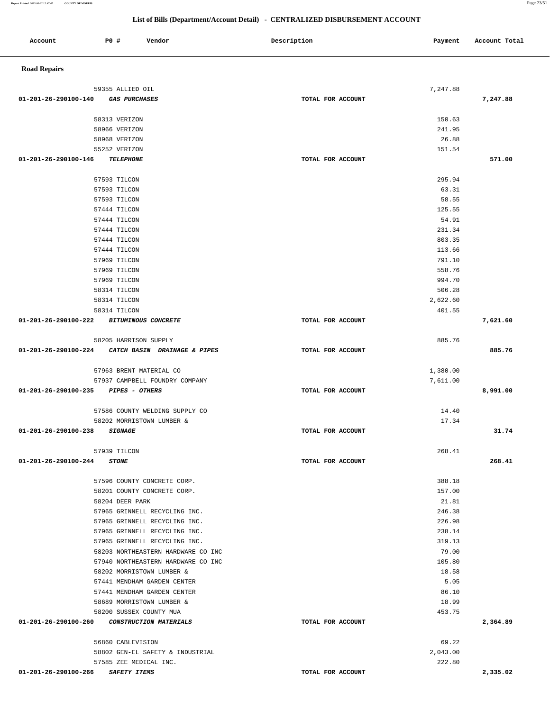**List of Bills (Department/Account Detail) - CENTRALIZED DISBURSEMENT ACCOUNT Account P0 # Vendor Description Payment Account Total Road Repairs**  59355 ALLIED OIL 7,247.88  **01-201-26-290100-140 GAS PURCHASES TOTAL FOR ACCOUNT 7,247.88** 58313 VERIZON 150.63 58966 VERIZON 241.95 58968 VERIZON 26.88 55252 VERIZON 151.54  **01-201-26-290100-146 TELEPHONE TOTAL FOR ACCOUNT 571.00** 57593 TILCON 295.94 57593 TILCON 63.31 57593 TILCON 58.55 57444 TILCON 125.55 57444 TILCON 54.91 57444 TILCON 231.34 57444 TILCON 803.35 57444 TILCON 113.66 57969 TILCON 791.10 57969 TILCON 558.76 57969 TILCON 994.70 58314 TILCON 506.28 58314 TILCON 2,622.60 58314 TILCON 401.55  **01-201-26-290100-222 BITUMINOUS CONCRETE TOTAL FOR ACCOUNT 7,621.60** 58205 HARRISON SUPPLY 885.76  **01-201-26-290100-224 CATCH BASIN DRAINAGE & PIPES TOTAL FOR ACCOUNT 885.76** 57963 BRENT MATERIAL CO 1,380.00 57937 CAMPBELL FOUNDRY COMPANY 7,611.00  **01-201-26-290100-235 PIPES - OTHERS TOTAL FOR ACCOUNT 8,991.00** 57586 COUNTY WELDING SUPPLY CO 14.40 58202 MORRISTOWN LUMBER & 17.34  **01-201-26-290100-238 SIGNAGE TOTAL FOR ACCOUNT 31.74** 57939 TILCON 268.41  **01-201-26-290100-244 STONE TOTAL FOR ACCOUNT 268.41** 57596 COUNTY CONCRETE CORP. 388.18 58201 COUNTY CONCRETE CORP. 157.00 58204 DEER PARK 21.81 57965 GRINNELL RECYCLING INC. 246.38 57965 GRINNELL RECYCLING INC. 226.98 57965 GRINNELL RECYCLING INC. 238.14 57965 GRINNELL RECYCLING INC. 319.13 58203 NORTHEASTERN HARDWARE CO INC 79.00 57940 NORTHEASTERN HARDWARE CO INC 105.80 58202 MORRISTOWN LUMBER & 18.58 57441 MENDHAM GARDEN CENTER SOLUTION CONTROL CONTROL CONTROL SUPERIOR SUPERIOR SUPERIOR SUPERIOR SUPERIOR SUPER 57441 MENDHAM GARDEN CENTER 86.10 58689 MORRISTOWN LUMBER & 18.99 58200 SUSSEX COUNTY MUA 453.75  **01-201-26-290100-260 CONSTRUCTION MATERIALS TOTAL FOR ACCOUNT 2,364.89** 56860 CABLEVISION 69.22 58802 GEN-EL SAFETY & INDUSTRIAL 2,043.00 57585 ZEE MEDICAL INC. 222.80  **01-201-26-290100-266 SAFETY ITEMS TOTAL FOR ACCOUNT 2,335.02**

**Report Printed** *2012-06-22 15:47:07* **COUNTY OF MORRIS** Page 23/51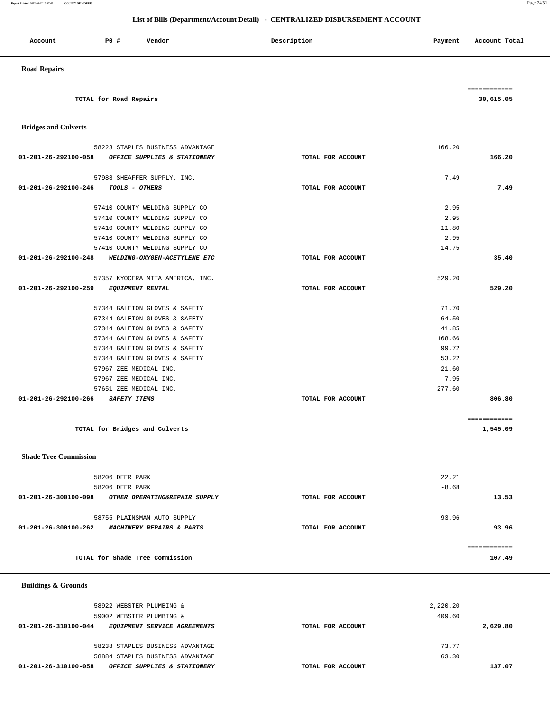**Report Printed** *2012-06-22 15:47:07* **COUNTY OF MORRIS** Page 24/51

# **List of Bills (Department/Account Detail) - CENTRALIZED DISBURSEMENT ACCOUNT**

| Account             | <b>PO #</b>            | Vendor | Description | Payment | Account Total |
|---------------------|------------------------|--------|-------------|---------|---------------|
| <b>Road Repairs</b> |                        |        |             |         |               |
|                     |                        |        |             |         | ------------  |
|                     | TOTAL for Road Repairs |        |             |         | 30,615.05     |

 **Bridges and Culverts** 

|        | 166.20            | 58223 STAPLES BUSINESS ADVANTAGE                     |
|--------|-------------------|------------------------------------------------------|
| 166.20 | TOTAL FOR ACCOUNT | 01-201-26-292100-058<br>OFFICE SUPPLIES & STATIONERY |
|        | 7.49              | 57988 SHEAFFER SUPPLY, INC.                          |
| 7.49   | TOTAL FOR ACCOUNT | TOOLS - OTHERS<br>01-201-26-292100-246               |
|        | 2.95              | 57410 COUNTY WELDING SUPPLY CO                       |
|        | 2.95              | 57410 COUNTY WELDING SUPPLY CO                       |
|        | 11.80             | 57410 COUNTY WELDING SUPPLY CO                       |
|        | 2.95              | 57410 COUNTY WELDING SUPPLY CO                       |
|        | 14.75             | 57410 COUNTY WELDING SUPPLY CO                       |
| 35.40  | TOTAL FOR ACCOUNT | 01-201-26-292100-248 WELDING-OXYGEN-ACETYLENE ETC    |
|        | 529.20            | 57357 KYOCERA MITA AMERICA, INC.                     |
| 529.20 | TOTAL FOR ACCOUNT | 01-201-26-292100-259 EQUIPMENT RENTAL                |
|        | 71.70             | 57344 GALETON GLOVES & SAFETY                        |
|        | 64.50             |                                                      |
|        |                   | 57344 GALETON GLOVES & SAFETY                        |
|        | 41.85             | 57344 GALETON GLOVES & SAFETY                        |
|        | 168.66            | 57344 GALETON GLOVES & SAFETY                        |
|        | 99.72             | 57344 GALETON GLOVES & SAFETY                        |
|        | 53.22             | 57344 GALETON GLOVES & SAFETY                        |
|        | 21.60             | 57967 ZEE MEDICAL INC.                               |
|        | 7.95              | 57967 ZEE MEDICAL INC.                               |
|        | 277.60            | 57651 ZEE MEDICAL INC.                               |

**TOTAL for Bridges and Culverts 1,545.09**

 **Shade Tree Commission** 

| 58206 DEER PARK                                       |                   | 22.21   |        |
|-------------------------------------------------------|-------------------|---------|--------|
| 58206 DEER PARK                                       |                   | $-8.68$ |        |
| 01-201-26-300100-098<br>OTHER OPERATING&REPAIR SUPPLY | TOTAL FOR ACCOUNT |         | 13.53  |
| 58755 PLAINSMAN AUTO SUPPLY                           |                   | 93.96   |        |
| 01-201-26-300100-262<br>MACHINERY REPAIRS & PARTS     | TOTAL FOR ACCOUNT |         | 93.96  |
|                                                       |                   |         |        |
| TOTAL for Shade Tree Commission                       |                   |         | 107.49 |

 **Buildings & Grounds** 

| 58922 WEBSTER PLUMBING & |                                  |                   | 2,220.20 |          |
|--------------------------|----------------------------------|-------------------|----------|----------|
| 59002 WEBSTER PLUMBING & |                                  |                   | 409.60   |          |
| 01-201-26-310100-044     | EOUIPMENT SERVICE AGREEMENTS     | TOTAL FOR ACCOUNT |          | 2,629.80 |
|                          |                                  |                   |          |          |
|                          | 58238 STAPLES BUSINESS ADVANTAGE |                   | 73.77    |          |
|                          | 58884 STAPLES BUSINESS ADVANTAGE |                   | 63.30    |          |
| 01-201-26-310100-058     | OFFICE SUPPLIES & STATIONERY     | TOTAL FOR ACCOUNT |          | 137.07   |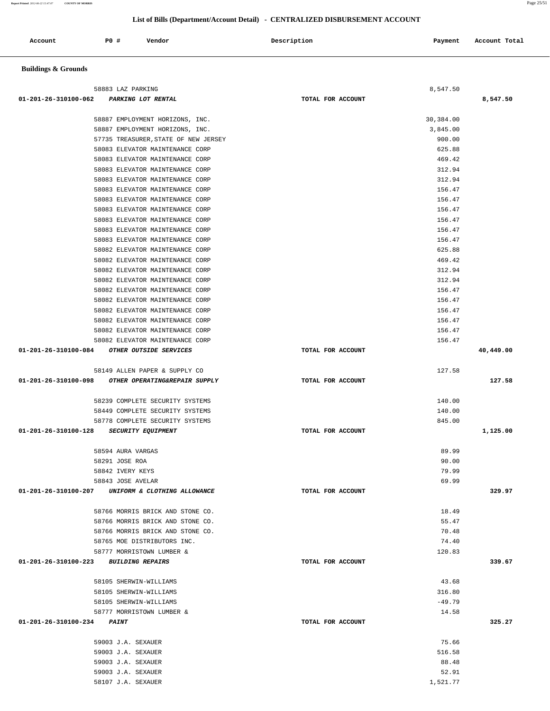| Account                        | <b>PO #</b><br>Vendor                                              | Description       | Payment           | Account Total |
|--------------------------------|--------------------------------------------------------------------|-------------------|-------------------|---------------|
| <b>Buildings &amp; Grounds</b> |                                                                    |                   |                   |               |
|                                |                                                                    |                   |                   |               |
|                                | 58883 LAZ PARKING                                                  |                   | 8,547.50          |               |
| 01-201-26-310100-062           | PARKING LOT RENTAL                                                 | TOTAL FOR ACCOUNT |                   | 8,547.50      |
|                                | 58887 EMPLOYMENT HORIZONS, INC.                                    |                   | 30,384.00         |               |
|                                | 58887 EMPLOYMENT HORIZONS, INC.                                    |                   | 3,845.00          |               |
|                                | 57735 TREASURER, STATE OF NEW JERSEY                               |                   | 900.00            |               |
|                                | 58083 ELEVATOR MAINTENANCE CORP<br>58083 ELEVATOR MAINTENANCE CORP |                   | 625.88<br>469.42  |               |
|                                | 58083 ELEVATOR MAINTENANCE CORP                                    |                   | 312.94            |               |
|                                | 58083 ELEVATOR MAINTENANCE CORP                                    |                   | 312.94            |               |
|                                | 58083 ELEVATOR MAINTENANCE CORP                                    |                   | 156.47            |               |
|                                | 58083 ELEVATOR MAINTENANCE CORP                                    |                   | 156.47            |               |
|                                | 58083 ELEVATOR MAINTENANCE CORP                                    |                   | 156.47            |               |
|                                | 58083 ELEVATOR MAINTENANCE CORP<br>58083 ELEVATOR MAINTENANCE CORP |                   | 156.47<br>156.47  |               |
|                                | 58083 ELEVATOR MAINTENANCE CORP                                    |                   | 156.47            |               |
|                                | 58082 ELEVATOR MAINTENANCE CORP                                    |                   | 625.88            |               |
|                                | 58082 ELEVATOR MAINTENANCE CORP                                    |                   | 469.42            |               |
|                                | 58082 ELEVATOR MAINTENANCE CORP                                    |                   | 312.94            |               |
|                                | 58082 ELEVATOR MAINTENANCE CORP                                    |                   | 312.94            |               |
|                                | 58082 ELEVATOR MAINTENANCE CORP                                    |                   | 156.47            |               |
|                                | 58082 ELEVATOR MAINTENANCE CORP<br>58082 ELEVATOR MAINTENANCE CORP |                   | 156.47<br>156.47  |               |
|                                | 58082 ELEVATOR MAINTENANCE CORP                                    |                   | 156.47            |               |
|                                | 58082 ELEVATOR MAINTENANCE CORP                                    |                   | 156.47            |               |
|                                | 58082 ELEVATOR MAINTENANCE CORP                                    |                   | 156.47            |               |
| 01-201-26-310100-084           | OTHER OUTSIDE SERVICES                                             | TOTAL FOR ACCOUNT |                   | 40,449.00     |
|                                | 58149 ALLEN PAPER & SUPPLY CO                                      |                   | 127.58            |               |
| 01-201-26-310100-098           | OTHER OPERATING&REPAIR SUPPLY                                      | TOTAL FOR ACCOUNT |                   | 127.58        |
|                                | 58239 COMPLETE SECURITY SYSTEMS                                    |                   | 140.00            |               |
|                                | 58449 COMPLETE SECURITY SYSTEMS                                    |                   | 140.00            |               |
|                                | 58778 COMPLETE SECURITY SYSTEMS                                    |                   | 845.00            |               |
| 01-201-26-310100-128           | SECURITY EQUIPMENT                                                 | TOTAL FOR ACCOUNT |                   | 1,125.00      |
|                                | 58594 AURA VARGAS                                                  |                   | 89.99             |               |
|                                | 58291 JOSE ROA                                                     |                   | 90.00             |               |
|                                | 58842 IVERY KEYS                                                   |                   | 79.99             |               |
|                                | 58843 JOSE AVELAR                                                  |                   | 69.99             |               |
|                                | 01-201-26-310100-207 UNIFORM & CLOTHING ALLOWANCE                  | TOTAL FOR ACCOUNT |                   | 329.97        |
|                                | 58766 MORRIS BRICK AND STONE CO.                                   |                   | 18.49             |               |
|                                | 58766 MORRIS BRICK AND STONE CO.                                   |                   | 55.47             |               |
|                                | 58766 MORRIS BRICK AND STONE CO.                                   |                   | 70.48             |               |
|                                | 58765 MOE DISTRIBUTORS INC.                                        |                   | 74.40             |               |
|                                | 58777 MORRISTOWN LUMBER &<br>01-201-26-310100-223 BUILDING REPAIRS | TOTAL FOR ACCOUNT | 120.83            | 339.67        |
|                                |                                                                    |                   |                   |               |
|                                | 58105 SHERWIN-WILLIAMS                                             |                   | 43.68             |               |
|                                | 58105 SHERWIN-WILLIAMS                                             |                   | 316.80            |               |
|                                | 58105 SHERWIN-WILLIAMS<br>58777 MORRISTOWN LUMBER &                |                   | $-49.79$<br>14.58 |               |
| 01-201-26-310100-234           | <b>PAINT</b>                                                       | TOTAL FOR ACCOUNT |                   | 325.27        |
|                                |                                                                    |                   |                   |               |
|                                | 59003 J.A. SEXAUER                                                 |                   | 75.66             |               |
|                                | 59003 J.A. SEXAUER                                                 |                   | 516.58            |               |
|                                | 59003 J.A. SEXAUER<br>59003 J.A. SEXAUER                           |                   | 88.48<br>52.91    |               |
|                                |                                                                    |                   |                   |               |

58107 J.A. SEXAUER 1,521.77

## **List of Bills (Department/Account Detail) - CENTRALIZED DISBURSEMENT ACCOUNT**

**Report Printed** *2012-06-22 15:47:07* **COUNTY OF MORRIS** Page 25/51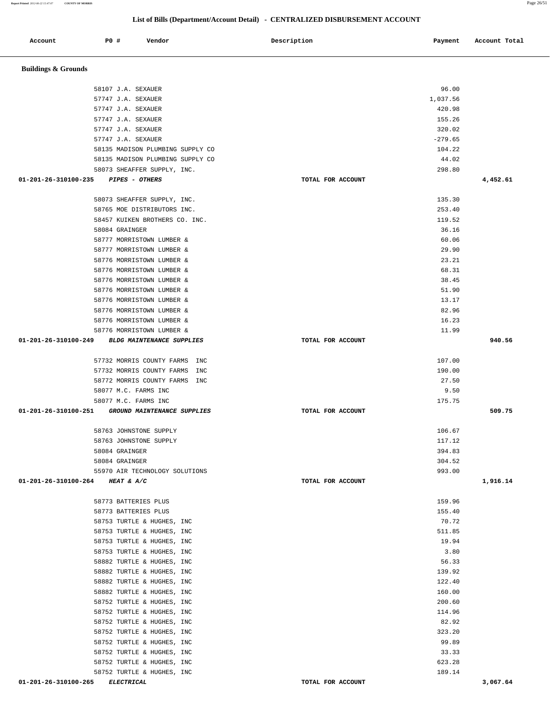| Account                         | P0 #           | Vendor                                                               | Description       | Payment         | Account Total |
|---------------------------------|----------------|----------------------------------------------------------------------|-------------------|-----------------|---------------|
| <b>Buildings &amp; Grounds</b>  |                |                                                                      |                   |                 |               |
|                                 |                |                                                                      |                   |                 |               |
|                                 |                | 58107 J.A. SEXAUER                                                   |                   | 96.00           |               |
|                                 |                | 57747 J.A. SEXAUER                                                   |                   | 1,037.56        |               |
|                                 |                | 57747 J.A. SEXAUER                                                   |                   | 420.98          |               |
|                                 |                | 57747 J.A. SEXAUER                                                   |                   | 155.26          |               |
|                                 |                | 57747 J.A. SEXAUER                                                   |                   | 320.02          |               |
|                                 |                | 57747 J.A. SEXAUER                                                   |                   | $-279.65$       |               |
|                                 |                | 58135 MADISON PLUMBING SUPPLY CO<br>58135 MADISON PLUMBING SUPPLY CO |                   | 104.22<br>44.02 |               |
|                                 |                | 58073 SHEAFFER SUPPLY, INC.                                          |                   | 298.80          |               |
| 01-201-26-310100-235            |                | PIPES - OTHERS                                                       | TOTAL FOR ACCOUNT |                 | 4,452.61      |
|                                 |                |                                                                      |                   | 135.30          |               |
|                                 |                | 58073 SHEAFFER SUPPLY, INC.<br>58765 MOE DISTRIBUTORS INC.           |                   | 253.40          |               |
|                                 |                | 58457 KUIKEN BROTHERS CO. INC.                                       |                   | 119.52          |               |
|                                 | 58084 GRAINGER |                                                                      |                   | 36.16           |               |
|                                 |                | 58777 MORRISTOWN LUMBER &                                            |                   | 60.06           |               |
|                                 |                | 58777 MORRISTOWN LUMBER &                                            |                   | 29.90           |               |
|                                 |                | 58776 MORRISTOWN LUMBER &                                            |                   | 23.21           |               |
|                                 |                | 58776 MORRISTOWN LUMBER &                                            |                   | 68.31           |               |
|                                 |                | 58776 MORRISTOWN LUMBER &                                            |                   | 38.45           |               |
|                                 |                | 58776 MORRISTOWN LUMBER &                                            |                   | 51.90           |               |
|                                 |                | 58776 MORRISTOWN LUMBER &                                            |                   | 13.17           |               |
|                                 |                | 58776 MORRISTOWN LUMBER &                                            |                   | 82.96           |               |
|                                 |                | 58776 MORRISTOWN LUMBER &                                            |                   | 16.23           |               |
|                                 |                | 58776 MORRISTOWN LUMBER &                                            |                   | 11.99           |               |
| 01-201-26-310100-249            |                | <b>BLDG MAINTENANCE SUPPLIES</b>                                     | TOTAL FOR ACCOUNT |                 | 940.56        |
|                                 |                |                                                                      |                   |                 |               |
|                                 |                | 57732 MORRIS COUNTY FARMS<br>INC                                     |                   | 107.00          |               |
|                                 |                | 57732 MORRIS COUNTY FARMS<br>INC                                     |                   | 190.00          |               |
|                                 |                | 58772 MORRIS COUNTY FARMS<br>INC                                     |                   | 27.50           |               |
|                                 |                | 58077 M.C. FARMS INC                                                 |                   | 9.50            |               |
| 01-201-26-310100-251            |                | 58077 M.C. FARMS INC<br>GROUND MAINTENANCE SUPPLIES                  | TOTAL FOR ACCOUNT | 175.75          | 509.75        |
|                                 |                |                                                                      |                   |                 |               |
|                                 |                | 58763 JOHNSTONE SUPPLY                                               |                   | 106.67          |               |
|                                 |                | 58763 JOHNSTONE SUPPLY                                               |                   | 117.12          |               |
|                                 | 58084 GRAINGER |                                                                      |                   | 394.83          |               |
|                                 | 58084 GRAINGER |                                                                      |                   | 304.52          |               |
|                                 |                | 55970 AIR TECHNOLOGY SOLUTIONS                                       |                   | 993.00          |               |
| 01-201-26-310100-264 HEAT & A/C |                |                                                                      | TOTAL FOR ACCOUNT |                 | 1,916.14      |
|                                 |                | 58773 BATTERIES PLUS                                                 |                   | 159.96          |               |
|                                 |                | 58773 BATTERIES PLUS                                                 |                   | 155.40          |               |
|                                 |                | 58753 TURTLE & HUGHES, INC                                           |                   | 70.72           |               |
|                                 |                | 58753 TURTLE & HUGHES, INC                                           |                   | 511.85          |               |
|                                 |                | 58753 TURTLE & HUGHES, INC                                           |                   | 19.94           |               |
|                                 |                | 58753 TURTLE & HUGHES, INC                                           |                   | 3.80            |               |
|                                 |                | 58882 TURTLE & HUGHES, INC                                           |                   | 56.33           |               |
|                                 |                | 58882 TURTLE & HUGHES, INC                                           |                   | 139.92          |               |
|                                 |                | 58882 TURTLE & HUGHES, INC                                           |                   | 122.40          |               |
|                                 |                | 58882 TURTLE & HUGHES, INC                                           |                   | 160.00          |               |
|                                 |                | 58752 TURTLE & HUGHES, INC                                           |                   | 200.60          |               |
|                                 |                | 58752 TURTLE & HUGHES, INC                                           |                   | 114.96          |               |
|                                 |                | 58752 TURTLE & HUGHES, INC                                           |                   | 82.92           |               |
|                                 |                | 58752 TURTLE & HUGHES, INC                                           |                   | 323.20<br>99.89 |               |
|                                 |                | 58752 TURTLE & HUGHES, INC<br>58752 TURTLE & HUGHES, INC             |                   | 33.33           |               |
|                                 |                | 58752 TURTLE & HUGHES, INC                                           |                   | 623.28          |               |
|                                 |                | 58752 TURTLE & HUGHES, INC                                           |                   | 189.14          |               |
| 01-201-26-310100-265 ELECTRICAL |                |                                                                      | TOTAL FOR ACCOUNT |                 | 3,067.64      |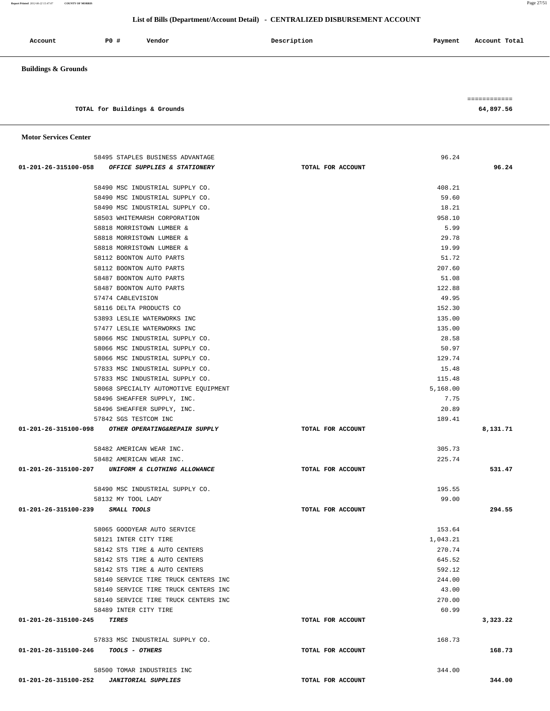**Report Printed** *2012-06-22 15:47:07* **COUNTY OF MORRIS** Page 27/51  **List of Bills (Department/Account Detail) - CENTRALIZED DISBURSEMENT ACCOUNT**

| Account                        | PO# | Vendor | Description | Payment | Account Total |
|--------------------------------|-----|--------|-------------|---------|---------------|
| <b>Buildings &amp; Grounds</b> |     |        |             |         |               |

 ============ **TOTAL for Buildings & Grounds 64,897.56**

|  | <b>Motor Services Center</b> |  |
|--|------------------------------|--|
|--|------------------------------|--|

|                                  | 58495 STAPLES BUSINESS ADVANTAGE                       |                   | 96.24    |          |
|----------------------------------|--------------------------------------------------------|-------------------|----------|----------|
|                                  | 01-201-26-315100-058 OFFICE SUPPLIES & STATIONERY      | TOTAL FOR ACCOUNT |          | 96.24    |
|                                  |                                                        |                   |          |          |
|                                  | 58490 MSC INDUSTRIAL SUPPLY CO.                        |                   | 408.21   |          |
|                                  | 58490 MSC INDUSTRIAL SUPPLY CO.                        |                   | 59.60    |          |
|                                  | 58490 MSC INDUSTRIAL SUPPLY CO.                        |                   | 18.21    |          |
|                                  | 58503 WHITEMARSH CORPORATION                           |                   | 958.10   |          |
|                                  | 58818 MORRISTOWN LUMBER &                              |                   | 5.99     |          |
|                                  | 58818 MORRISTOWN LUMBER &                              |                   | 29.78    |          |
|                                  | 58818 MORRISTOWN LUMBER &                              |                   | 19.99    |          |
|                                  | 58112 BOONTON AUTO PARTS                               |                   | 51.72    |          |
|                                  | 58112 BOONTON AUTO PARTS                               |                   | 207.60   |          |
|                                  | 58487 BOONTON AUTO PARTS                               |                   | 51.08    |          |
|                                  | 58487 BOONTON AUTO PARTS                               |                   | 122.88   |          |
|                                  | 57474 CABLEVISION                                      |                   | 49.95    |          |
|                                  | 58116 DELTA PRODUCTS CO                                |                   | 152.30   |          |
|                                  | 53893 LESLIE WATERWORKS INC                            |                   | 135.00   |          |
|                                  | 57477 LESLIE WATERWORKS INC                            |                   | 135.00   |          |
|                                  | 58066 MSC INDUSTRIAL SUPPLY CO.                        |                   | 28.58    |          |
|                                  | 58066 MSC INDUSTRIAL SUPPLY CO.                        |                   | 50.97    |          |
|                                  | 58066 MSC INDUSTRIAL SUPPLY CO.                        |                   | 129.74   |          |
|                                  | 57833 MSC INDUSTRIAL SUPPLY CO.                        |                   | 15.48    |          |
|                                  | 57833 MSC INDUSTRIAL SUPPLY CO.                        |                   | 115.48   |          |
|                                  | 58068 SPECIALTY AUTOMOTIVE EQUIPMENT                   |                   | 5,168.00 |          |
|                                  | 58496 SHEAFFER SUPPLY, INC.                            |                   | 7.75     |          |
|                                  | 58496 SHEAFFER SUPPLY, INC.                            |                   | 20.89    |          |
|                                  | 57842 SGS TESTCOM INC                                  |                   | 189.41   |          |
|                                  | 01-201-26-315100-098 OTHER OPERATING&REPAIR SUPPLY     | TOTAL FOR ACCOUNT |          | 8,131.71 |
|                                  | 58482 AMERICAN WEAR INC.                               |                   | 305.73   |          |
|                                  | 58482 AMERICAN WEAR INC.                               |                   | 225.74   |          |
|                                  | 01-201-26-315100-207 UNIFORM & CLOTHING ALLOWANCE      | TOTAL FOR ACCOUNT |          | 531.47   |
|                                  |                                                        |                   |          |          |
|                                  | 58490 MSC INDUSTRIAL SUPPLY CO.                        |                   | 195.55   |          |
|                                  | 58132 MY TOOL LADY                                     |                   | 99.00    |          |
| 01-201-26-315100-239 SMALL TOOLS |                                                        | TOTAL FOR ACCOUNT |          | 294.55   |
|                                  |                                                        |                   |          |          |
|                                  | 58065 GOODYEAR AUTO SERVICE                            |                   | 153.64   |          |
|                                  | 58121 INTER CITY TIRE<br>58142 STS TIRE & AUTO CENTERS |                   | 1,043.21 |          |
|                                  |                                                        |                   | 270.74   |          |
|                                  | 58142 STS TIRE & AUTO CENTERS                          |                   | 645.52   |          |
|                                  | 58142 STS TIRE & AUTO CENTERS                          |                   | 592.12   |          |
|                                  | 58140 SERVICE TIRE TRUCK CENTERS INC                   |                   | 244.00   |          |
|                                  | 58140 SERVICE TIRE TRUCK CENTERS INC                   |                   | 43.00    |          |
|                                  | 58140 SERVICE TIRE TRUCK CENTERS INC                   |                   | 270.00   |          |
|                                  | 58489 INTER CITY TIRE                                  |                   | 60.99    |          |
| 01-201-26-315100-245             | TIRES                                                  | TOTAL FOR ACCOUNT |          | 3,323.22 |
|                                  | 57833 MSC INDUSTRIAL SUPPLY CO.                        |                   | 168.73   |          |
|                                  |                                                        |                   |          |          |
| 01-201-26-315100-246             | <i>TOOLS - OTHERS</i>                                  | TOTAL FOR ACCOUNT |          | 168.73   |
|                                  |                                                        |                   |          |          |
|                                  | 58500 TOMAR INDUSTRIES INC                             |                   | 344.00   |          |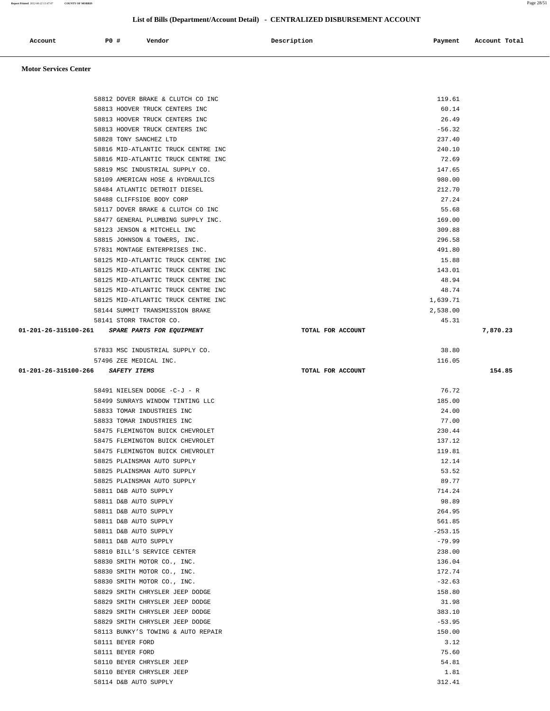| 58815 JOHNSON & TOWERS, INC.                   | 296.58            |          |
|------------------------------------------------|-------------------|----------|
| 57831 MONTAGE ENTERPRISES INC.                 | 491.80            |          |
| 58125 MID-ATLANTIC TRUCK CENTRE INC            | 15.88             |          |
| 58125 MID-ATLANTIC TRUCK CENTRE INC            | 143.01            |          |
| 58125 MID-ATLANTIC TRUCK CENTRE INC            | 48.94             |          |
| 58125 MID-ATLANTIC TRUCK CENTRE INC            | 48.74             |          |
| 58125 MID-ATLANTIC TRUCK CENTRE INC            | 1,639.71          |          |
| 58144 SUMMIT TRANSMISSION BRAKE                | 2,538.00          |          |
| 58141 STORR TRACTOR CO.                        | 45.31             |          |
| 01-201-26-315100-261 SPARE PARTS FOR EQUIPMENT | TOTAL FOR ACCOUNT | 7,870.23 |
| 57833 MSC INDUSTRIAL SUPPLY CO.                | 38.80             |          |
| 57496 ZEE MEDICAL INC.                         | 116.05            |          |
| 01-201-26-315100-266 SAFETY ITEMS              | TOTAL FOR ACCOUNT | 154.85   |
| 58491 NIELSEN DODGE -C-J - R                   | 76.72             |          |
| 58499 SUNRAYS WINDOW TINTING LLC               | 185.00            |          |
| 58833 TOMAR INDUSTRIES INC                     | 24.00             |          |
| 58833 TOMAR INDUSTRIES INC                     | 77.00             |          |
| 58475 FLEMINGTON BUICK CHEVROLET               | 230.44            |          |
| 58475 FLEMINGTON BUICK CHEVROLET               | 137.12            |          |
| 58475 FLEMINGTON BUICK CHEVROLET               | 119.81            |          |
| 58825 PLAINSMAN AUTO SUPPLY                    | 12.14             |          |
| 58825 PLAINSMAN AUTO SUPPLY                    | 53.52             |          |
| 58825 PLAINSMAN AUTO SUPPLY                    | 89.77             |          |
| 58811 D&B AUTO SUPPLY                          | 714.24            |          |
| 58811 D&B AUTO SUPPLY                          | 98.89             |          |
| 58811 D&B AUTO SUPPLY                          | 264.95            |          |
| 58811 D&B AUTO SUPPLY                          | 561.85            |          |
| 58811 D&B AUTO SUPPLY                          | $-253.15$         |          |
| 58811 D&B AUTO SUPPLY                          | $-79.99$          |          |
| 58810 BILL'S SERVICE CENTER                    | 238.00            |          |
| 58830 SMITH MOTOR CO., INC.                    | 136.04            |          |
| 58830 SMITH MOTOR CO., INC.                    | 172.74            |          |
| 58830 SMITH MOTOR CO., INC.                    | $-32.63$          |          |
| 58829 SMITH CHRYSLER JEEP DODGE                | 158.80            |          |
| 58829 SMITH CHRYSLER JEEP DODGE                | 31.98             |          |
| 58829 SMITH CHRYSLER JEEP DODGE                | 383.10            |          |
| 58829 SMITH CHRYSLER JEEP DODGE                | $-53.95$          |          |
| 58113 BUNKY'S TOWING & AUTO REPAIR             | 150.00            |          |
| 58111 BEYER FORD                               |                   | 3.12     |
| 58111 BEYER FORD                               | 75.60             |          |
| 58110 BEYER CHRYSLER JEEP                      | 54.81             |          |
| 58110 BEYER CHRYSLER JEEP                      |                   | 1.81     |
| 58114 D&B AUTO SUPPLY                          | 312.41            |          |

# 58813 HOOVER TRUCK CENTERS INC 26.49 58813 HOOVER TRUCK CENTERS INC 65 AM AND THE SERIES OF SAME SERIES AND STRUCK SERIES OF SAME SERIES AND SERIES AND SERIES OF SAME SERIES AND STRUCK CENTERS INC 58828 TONY SANCHEZ LTD 237.40 58816 MID-ATLANTIC TRUCK CENTRE INC 240.10 58816 MID-ATLANTIC TRUCK CENTRE INC 72.69 58819 MSC INDUSTRIAL SUPPLY CO. 147.65 58109 AMERICAN HOSE & HYDRAULICS 980.00 58484 ATLANTIC DETROIT DIESEL 212.70 58488 CLIFFSIDE BODY CORP 27.24 58117 DOVER BRAKE & CLUTCH CO INC 55.68 58477 GENERAL PLUMBING SUPPLY INC. 169.00 58123 JENSON & MITCHELL INC 309.88

### **Motor Services Center**

Account **PO #** Vendor **Payment** Payment **Payment Payment Payment Payment Payment Payment Payment Payment** 

 58812 DOVER BRAKE & CLUTCH CO INC 119.61 58813 HOOVER TRUCK CENTERS INC 60.14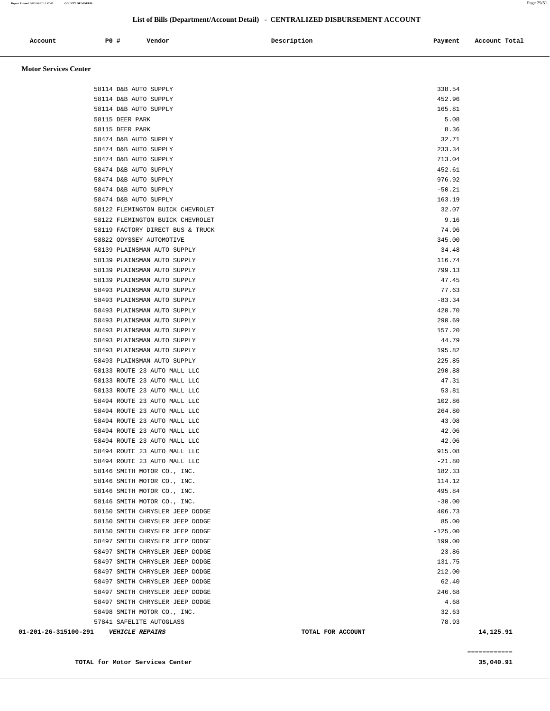| Account                      | <b>PO #</b> | Vendor | Description | Payment | Account Total |
|------------------------------|-------------|--------|-------------|---------|---------------|
| <b>Motor Services Center</b> |             |        |             |         |               |

| 01-201-26-315100-291 | <b>VEHICLE REPAIRS</b>                                     | TOTAL FOR ACCOUNT | 14,125.91 |
|----------------------|------------------------------------------------------------|-------------------|-----------|
|                      | 57841 SAFELITE AUTOGLASS                                   | 78.93             |           |
|                      | 58498 SMITH MOTOR CO., INC.                                | 32.63             |           |
|                      | 58497 SMITH CHRYSLER JEEP DODGE                            | 4.68              |           |
|                      | 58497 SMITH CHRYSLER JEEP DODGE                            | 246.68            |           |
|                      | 58497 SMITH CHRYSLER JEEP DODGE                            | 62.40             |           |
|                      | 58497 SMITH CHRYSLER JEEP DODGE                            | 212.00            |           |
|                      | 58497 SMITH CHRYSLER JEEP DODGE                            | 131.75            |           |
|                      | 58497 SMITH CHRYSLER JEEP DODGE                            | 23.86             |           |
|                      | 58497 SMITH CHRYSLER JEEP DODGE                            | 199.00            |           |
|                      | 58150 SMITH CHRYSLER JEEP DODGE                            | $-125.00$         |           |
|                      | 58150 SMITH CHRYSLER JEEP DODGE                            | 85.00             |           |
|                      | 58150 SMITH CHRYSLER JEEP DODGE                            | 406.73            |           |
|                      | 58146 SMITH MOTOR CO., INC.                                | $-30.00$          |           |
|                      | 58146 SMITH MOTOR CO., INC.                                | 495.84            |           |
|                      | 58146 SMITH MOTOR CO., INC.                                | 114.12            |           |
|                      | 58146 SMITH MOTOR CO., INC.                                | 182.33            |           |
|                      | 58494 ROUTE 23 AUTO MALL LLC                               | $-21.80$          |           |
|                      | 58494 ROUTE 23 AUTO MALL LLC                               | 915.08            |           |
|                      | 58494 ROUTE 23 AUTO MALL LLC                               | 42.06             |           |
|                      | 58494 ROUTE 23 AUTO MALL LLC                               | 42.06             |           |
|                      | 58494 ROUTE 23 AUTO MALL LLC                               | 43.08             |           |
|                      | 58494 ROUTE 23 AUTO MALL LLC                               | 264.80            |           |
|                      | 58494 ROUTE 23 AUTO MALL LLC                               | 102.86            |           |
|                      | 58133 ROUTE 23 AUTO MALL LLC                               | 53.81             |           |
|                      | 58133 ROUTE 23 AUTO MALL LLC                               | 47.31             |           |
|                      | 58133 ROUTE 23 AUTO MALL LLC                               | 290.88            |           |
|                      | 58493 PLAINSMAN AUTO SUPPLY                                | 225.85            |           |
|                      | 58493 PLAINSMAN AUTO SUPPLY                                | 195.82            |           |
|                      | 58493 PLAINSMAN AUTO SUPPLY                                | 44.79             |           |
|                      | 58493 PLAINSMAN AUTO SUPPLY<br>58493 PLAINSMAN AUTO SUPPLY | 290.69<br>157.20  |           |
|                      | 58493 PLAINSMAN AUTO SUPPLY                                | 420.70            |           |
|                      | 58493 PLAINSMAN AUTO SUPPLY                                | $-83.34$          |           |
|                      | 58493 PLAINSMAN AUTO SUPPLY                                | 77.63             |           |
|                      | 58139 PLAINSMAN AUTO SUPPLY                                | 47.45             |           |
|                      | 58139 PLAINSMAN AUTO SUPPLY                                | 799.13            |           |
|                      | 58139 PLAINSMAN AUTO SUPPLY                                | 116.74            |           |
|                      | 58139 PLAINSMAN AUTO SUPPLY                                | 34.48             |           |
|                      | 58822 ODYSSEY AUTOMOTIVE                                   | 345.00            |           |
|                      | 58119 FACTORY DIRECT BUS & TRUCK                           | 74.96             |           |
|                      | 58122 FLEMINGTON BUICK CHEVROLET                           | 9.16              |           |
|                      | 58122 FLEMINGTON BUICK CHEVROLET                           | 32.07             |           |
|                      | 58474 D&B AUTO SUPPLY                                      | 163.19            |           |
|                      | 58474 D&B AUTO SUPPLY                                      | $-50.21$          |           |
|                      | 58474 D&B AUTO SUPPLY                                      | 976.92            |           |
|                      | 58474 D&B AUTO SUPPLY                                      | 452.61            |           |
|                      | 58474 D&B AUTO SUPPLY                                      | 713.04            |           |
|                      | 58474 D&B AUTO SUPPLY                                      | 233.34            |           |
|                      | 58474 D&B AUTO SUPPLY                                      | 32.71             |           |
|                      | 58115 DEER PARK                                            | 8.36              |           |
|                      | 58115 DEER PARK                                            | 5.08              |           |
|                      | 58114 D&B AUTO SUPPLY                                      | 165.81            |           |
|                      | 58114 D&B AUTO SUPPLY                                      | 452.96            |           |
|                      | 58114 D&B AUTO SUPPLY                                      | 338.54            |           |
|                      |                                                            |                   |           |

**TOTAL for Motor Services Center 35,040.91**

============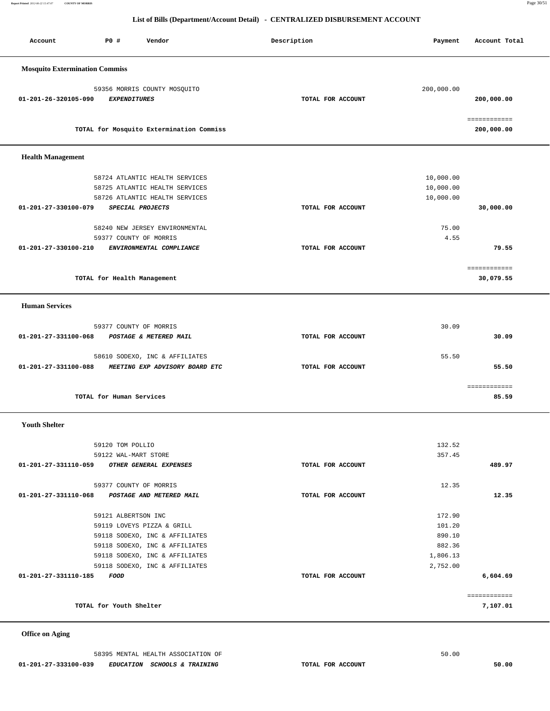**Report Printed** *2012-06-22 15:47:07* **COUNTY OF MORRIS** Page 30/51

## **List of Bills (Department/Account Detail) - CENTRALIZED DISBURSEMENT ACCOUNT**

| Account                                       | <b>PO #</b>                 | Vendor                                   | Description       | Payment    | Account Total |
|-----------------------------------------------|-----------------------------|------------------------------------------|-------------------|------------|---------------|
|                                               |                             |                                          |                   |            |               |
| <b>Mosquito Extermination Commiss</b>         |                             |                                          |                   |            |               |
|                                               |                             | 59356 MORRIS COUNTY MOSQUITO             |                   | 200,000.00 |               |
| 01-201-26-320105-090                          | <b>EXPENDITURES</b>         |                                          | TOTAL FOR ACCOUNT |            | 200,000.00    |
|                                               |                             |                                          |                   |            |               |
|                                               |                             |                                          |                   |            | ============  |
|                                               |                             | TOTAL for Mosquito Extermination Commiss |                   |            | 200,000.00    |
| <b>Health Management</b>                      |                             |                                          |                   |            |               |
|                                               |                             |                                          |                   |            |               |
|                                               |                             | 58724 ATLANTIC HEALTH SERVICES           |                   | 10,000.00  |               |
|                                               |                             | 58725 ATLANTIC HEALTH SERVICES           |                   | 10,000.00  |               |
|                                               |                             | 58726 ATLANTIC HEALTH SERVICES           |                   | 10,000.00  |               |
| 01-201-27-330100-079                          |                             | SPECIAL PROJECTS                         | TOTAL FOR ACCOUNT |            | 30,000.00     |
|                                               |                             |                                          |                   |            |               |
|                                               |                             | 58240 NEW JERSEY ENVIRONMENTAL           |                   | 75.00      |               |
|                                               | 59377 COUNTY OF MORRIS      |                                          |                   | 4.55       |               |
| 01-201-27-330100-210                          |                             | ENVIRONMENTAL COMPLIANCE                 | TOTAL FOR ACCOUNT |            | 79.55         |
|                                               |                             |                                          |                   |            | ============  |
|                                               | TOTAL for Health Management |                                          |                   |            | 30,079.55     |
|                                               |                             |                                          |                   |            |               |
| <b>Human Services</b>                         |                             |                                          |                   |            |               |
|                                               | 59377 COUNTY OF MORRIS      |                                          |                   | 30.09      |               |
| 01-201-27-331100-068                          |                             | POSTAGE & METERED MAIL                   | TOTAL FOR ACCOUNT |            | 30.09         |
|                                               |                             |                                          |                   |            |               |
|                                               |                             | 58610 SODEXO, INC & AFFILIATES           |                   | 55.50      |               |
| 01-201-27-331100-088                          |                             | MEETING EXP ADVISORY BOARD ETC           | TOTAL FOR ACCOUNT |            | 55.50         |
|                                               |                             |                                          |                   |            |               |
|                                               |                             |                                          |                   |            | ============  |
|                                               | TOTAL for Human Services    |                                          |                   |            | 85.59         |
| <b>Youth Shelter</b>                          |                             |                                          |                   |            |               |
|                                               |                             |                                          |                   |            |               |
|                                               | 59120 TOM POLLIO            |                                          |                   | 132.52     |               |
|                                               | 59122 WAL-MART STORE        |                                          |                   | 357.45     |               |
| 01-201-27-331110-059 OTHER GENERAL EXPENSES   |                             |                                          | TOTAL FOR ACCOUNT |            | 489.97        |
|                                               |                             |                                          |                   |            |               |
| 01-201-27-331110-068 POSTAGE AND METERED MAIL | 59377 COUNTY OF MORRIS      |                                          | TOTAL FOR ACCOUNT | 12.35      | 12.35         |
|                                               |                             |                                          |                   |            |               |
|                                               | 59121 ALBERTSON INC         |                                          |                   | 172.90     |               |
|                                               |                             | 59119 LOVEYS PIZZA & GRILL               |                   | 101.20     |               |
|                                               |                             | 59118 SODEXO, INC & AFFILIATES           |                   | 890.10     |               |
|                                               |                             | 59118 SODEXO, INC & AFFILIATES           |                   | 882.36     |               |
|                                               |                             | 59118 SODEXO, INC & AFFILIATES           |                   | 1,806.13   |               |
|                                               |                             | 59118 SODEXO, INC & AFFILIATES           |                   | 2,752.00   |               |
| 01-201-27-331110-185                          | FOOD                        |                                          | TOTAL FOR ACCOUNT |            | 6,604.69      |
|                                               |                             |                                          |                   |            |               |
|                                               | TOTAL for Youth Shelter     |                                          |                   |            | 7,107.01      |
|                                               |                             |                                          |                   |            |               |

 **Office on Aging**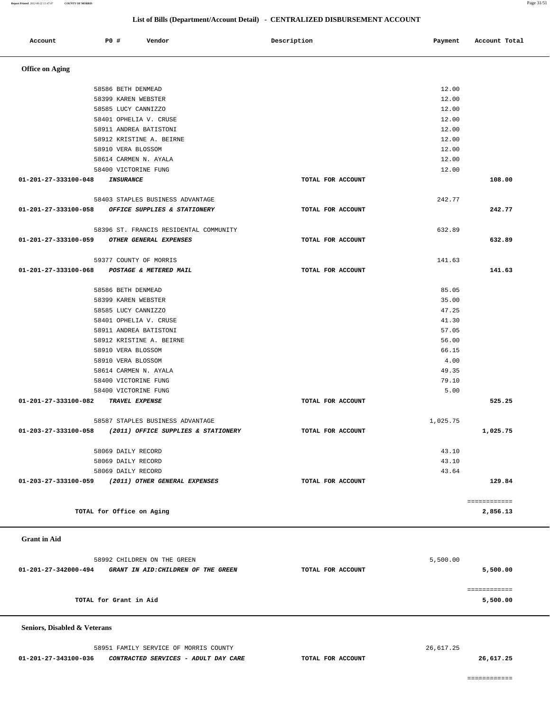============

 **Seniors, Disabled & Veterans** 58951 FAMILY SERVICE OF MORRIS COUNTY 26,617.25

| -<br>$\overline{\phantom{a}}$                               |                   |          |              |
|-------------------------------------------------------------|-------------------|----------|--------------|
| 58586 BETH DENMEAD                                          |                   | 12.00    |              |
| 58399 KAREN WEBSTER                                         |                   | 12.00    |              |
| 58585 LUCY CANNIZZO                                         |                   | 12.00    |              |
| 58401 OPHELIA V. CRUSE                                      |                   | 12.00    |              |
| 58911 ANDREA BATISTONI                                      |                   | 12.00    |              |
| 58912 KRISTINE A. BEIRNE                                    |                   | 12.00    |              |
| 58910 VERA BLOSSOM                                          |                   | 12.00    |              |
| 58614 CARMEN N. AYALA                                       |                   | 12.00    |              |
| 58400 VICTORINE FUNG                                        |                   | 12.00    |              |
| 01-201-27-333100-048 INSURANCE                              | TOTAL FOR ACCOUNT |          | 108.00       |
| 58403 STAPLES BUSINESS ADVANTAGE                            |                   | 242.77   |              |
| 01-201-27-333100-058 OFFICE SUPPLIES & STATIONERY           | TOTAL FOR ACCOUNT |          | 242.77       |
| 58396 ST. FRANCIS RESIDENTAL COMMUNITY                      |                   | 632.89   |              |
| 01-201-27-333100-059 OTHER GENERAL EXPENSES                 | TOTAL FOR ACCOUNT |          | 632.89       |
| 59377 COUNTY OF MORRIS                                      |                   | 141.63   |              |
| 01-201-27-333100-068 POSTAGE & METERED MAIL                 | TOTAL FOR ACCOUNT |          | 141.63       |
| 58586 BETH DENMEAD                                          |                   | 85.05    |              |
| 58399 KAREN WEBSTER                                         |                   | 35.00    |              |
| 58585 LUCY CANNIZZO                                         |                   | 47.25    |              |
| 58401 OPHELIA V. CRUSE                                      |                   | 41.30    |              |
| 58911 ANDREA BATISTONI                                      |                   | 57.05    |              |
| 58912 KRISTINE A. BEIRNE                                    |                   | 56.00    |              |
| 58910 VERA BLOSSOM                                          |                   | 66.15    |              |
| 58910 VERA BLOSSOM                                          |                   | 4.00     |              |
| 58614 CARMEN N. AYALA                                       |                   | 49.35    |              |
| 58400 VICTORINE FUNG                                        |                   | 79.10    |              |
| 58400 VICTORINE FUNG                                        |                   | 5.00     |              |
| 01-201-27-333100-082 TRAVEL EXPENSE                         | TOTAL FOR ACCOUNT |          | 525.25       |
| 58587 STAPLES BUSINESS ADVANTAGE                            |                   | 1,025.75 |              |
| 01-203-27-333100-058 (2011) OFFICE SUPPLIES & STATIONERY    | TOTAL FOR ACCOUNT |          | 1,025.75     |
| 58069 DAILY RECORD                                          |                   | 43.10    |              |
| 58069 DAILY RECORD                                          |                   | 43.10    |              |
| 58069 DAILY RECORD                                          |                   | 43.64    |              |
| 01-203-27-333100-059<br>(2011) OTHER GENERAL EXPENSES       | TOTAL FOR ACCOUNT |          | 129.84       |
|                                                             |                   |          | ============ |
| TOTAL for Office on Aging                                   |                   |          | 2,856.13     |
| <b>Grant</b> in Aid                                         |                   |          |              |
| 58992 CHILDREN ON THE GREEN                                 |                   | 5,500.00 |              |
| 01-201-27-342000-494<br>GRANT IN AID: CHILDREN OF THE GREEN | TOTAL FOR ACCOUNT |          | 5,500.00     |
|                                                             |                   |          | ============ |
| TOTAL for Grant in Aid                                      |                   |          | 5,500.00     |
|                                                             |                   |          |              |

 **01-201-27-343100-036 CONTRACTED SERVICES - ADULT DAY CARE TOTAL FOR ACCOUNT 26,617.25**

 **Office on Aging** 

Account **PO #** Vendor **Payment Payment Payment** Payment Payment Payment Account Total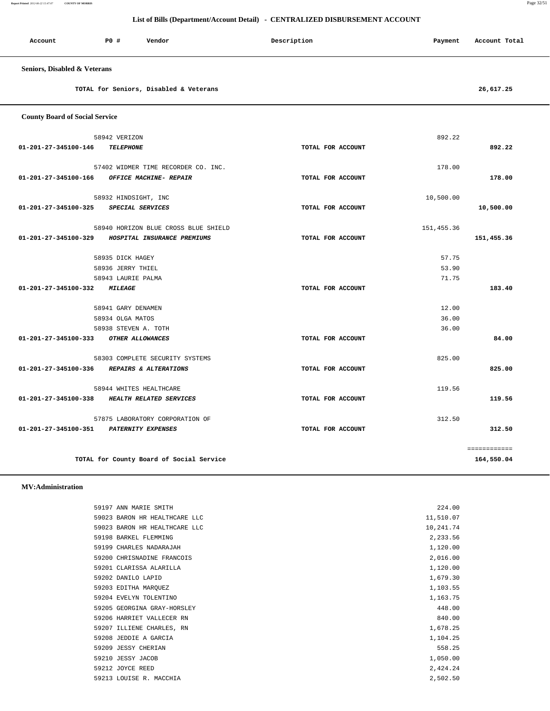**Report Printed** *2012-06-22 15:47:07* **COUNTY OF MORRIS** Page 32/51

|                                       |                                                               | List of Bills (Department/Account Detail) - CENTRALIZED DISBURSEMENT ACCOUNT |             |               |
|---------------------------------------|---------------------------------------------------------------|------------------------------------------------------------------------------|-------------|---------------|
| Account                               | P0 #<br>Vendor                                                | Description                                                                  | Payment     | Account Total |
| Seniors, Disabled & Veterans          |                                                               |                                                                              |             |               |
|                                       | TOTAL for Seniors, Disabled & Veterans                        |                                                                              |             | 26,617.25     |
| <b>County Board of Social Service</b> |                                                               |                                                                              |             |               |
|                                       | 58942 VERIZON                                                 |                                                                              | 892.22      |               |
| 01-201-27-345100-146                  | <b>TELEPHONE</b>                                              | TOTAL FOR ACCOUNT                                                            |             | 892.22        |
|                                       |                                                               |                                                                              |             |               |
| 01-201-27-345100-166                  | 57402 WIDMER TIME RECORDER CO. INC.<br>OFFICE MACHINE- REPAIR | TOTAL FOR ACCOUNT                                                            | 178.00      | 178.00        |
|                                       |                                                               |                                                                              |             |               |
|                                       | 58932 HINDSIGHT, INC                                          |                                                                              | 10,500.00   |               |
| 01-201-27-345100-325                  | SPECIAL SERVICES                                              | TOTAL FOR ACCOUNT                                                            |             | 10,500.00     |
|                                       | 58940 HORIZON BLUE CROSS BLUE SHIELD                          |                                                                              | 151, 455.36 |               |
| 01-201-27-345100-329                  | HOSPITAL INSURANCE PREMIUMS                                   | TOTAL FOR ACCOUNT                                                            |             | 151,455.36    |
|                                       |                                                               |                                                                              |             |               |
|                                       | 58935 DICK HAGEY                                              |                                                                              | 57.75       |               |
|                                       | 58936 JERRY THIEL                                             |                                                                              | 53.90       |               |
|                                       | 58943 LAURIE PALMA                                            |                                                                              | 71.75       |               |
| 01-201-27-345100-332                  | <b>MILEAGE</b>                                                | TOTAL FOR ACCOUNT                                                            |             | 183.40        |
|                                       | 58941 GARY DENAMEN                                            |                                                                              | 12.00       |               |
|                                       | 58934 OLGA MATOS                                              |                                                                              | 36.00       |               |
|                                       | 58938 STEVEN A. TOTH                                          |                                                                              | 36.00       |               |
| 01-201-27-345100-333                  | OTHER ALLOWANCES                                              | TOTAL FOR ACCOUNT                                                            |             | 84.00         |
|                                       |                                                               |                                                                              |             |               |
| 01-201-27-345100-336                  | 58303 COMPLETE SECURITY SYSTEMS<br>REPAIRS & ALTERATIONS      | TOTAL FOR ACCOUNT                                                            | 825.00      | 825.00        |
|                                       |                                                               |                                                                              |             |               |
|                                       | 58944 WHITES HEALTHCARE                                       |                                                                              | 119.56      |               |
| 01-201-27-345100-338                  | HEALTH RELATED SERVICES                                       | TOTAL FOR ACCOUNT                                                            |             | 119.56        |
|                                       |                                                               |                                                                              |             |               |

**TOTAL for County Board of Social Service 164,550.04**

### **MV:Administration**

| 59197 ANN MARIE SMITH         | 224.00    |
|-------------------------------|-----------|
| 59023 BARON HR HEALTHCARE LLC | 11,510.07 |
| 59023 BARON HR HEALTHCARE LLC | 10,241.74 |
| 59198 BARKEL FLEMMING         | 2,233.56  |
| 59199 CHARLES NADARAJAH       | 1,120.00  |
| 59200 CHRISNADINE FRANCOIS    | 2,016.00  |
| 59201 CLARISSA ALARILLA       | 1,120.00  |
| 59202 DANILO LAPID            | 1,679.30  |
| 59203 EDITHA MARQUEZ          | 1,103.55  |
| 59204 EVELYN TOLENTINO        | 1,163.75  |
| 59205 GEORGINA GRAY-HORSLEY   | 448.00    |
| 59206 HARRIET VALLECER RN     | 840.00    |
| 59207 ILLIENE CHARLES, RN     | 1,678.25  |
| 59208 JEDDIE A GARCIA         | 1,104.25  |
| 59209 JESSY CHERIAN           | 558.25    |
| 59210 JESSY JACOB             | 1,050.00  |
| 59212 JOYCE REED              | 2,424.24  |
| 59213 LOUISE R. MACCHIA       | 2,502.50  |

 57875 LABORATORY CORPORATION OF 312.50  **01-201-27-345100-351 PATERNITY EXPENSES TOTAL FOR ACCOUNT 312.50**

============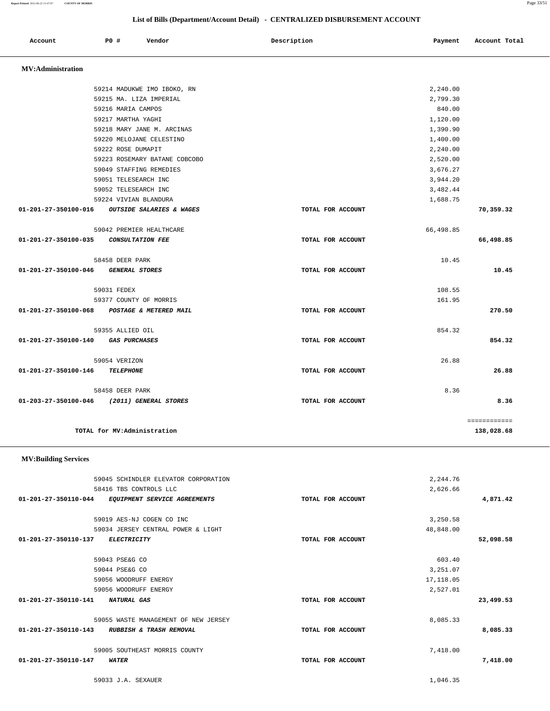59045 SCHINDLER ELEVATOR CORPORATION 2,244.76 58416 TBS CONTROLS LLC 2,626.66  **01-201-27-350110-044 EQUIPMENT SERVICE AGREEMENTS TOTAL FOR ACCOUNT 4,871.42** 59019 AES-NJ COGEN CO INC 3, 250.58 59034 JERSEY CENTRAL POWER & LIGHT 48,848.00  **01-201-27-350110-137 ELECTRICITY TOTAL FOR ACCOUNT 52,098.58** 59043 PSE&G CO 603.40 59044 PSE&G CO 3,251.07 59056 WOODRUFF ENERGY 17,118.05 59056 WOODRUFF ENERGY 2,527.01  **01-201-27-350110-141 NATURAL GAS TOTAL FOR ACCOUNT 23,499.53** 59055 WASTE MANAGEMENT OF NEW JERSEY 8,085.33  **01-201-27-350110-143 RUBBISH & TRASH REMOVAL TOTAL FOR ACCOUNT 8,085.33** 59005 SOUTHEAST MORRIS COUNTY 7,418.00  **01-201-27-350110-147 WATER TOTAL FOR ACCOUNT 7,418.00**

## **MV:Building Services**

|                      | 59216 MARIA CAMPOS                          |                   | 840.00    |              |
|----------------------|---------------------------------------------|-------------------|-----------|--------------|
|                      | 59217 MARTHA YAGHI                          |                   | 1,120.00  |              |
|                      | 59218 MARY JANE M. ARCINAS                  |                   | 1,390.90  |              |
|                      | 59220 MELOJANE CELESTINO                    |                   | 1,400.00  |              |
|                      | 59222 ROSE DUMAPIT                          |                   | 2,240.00  |              |
|                      | 59223 ROSEMARY BATANE COBCOBO               |                   | 2,520.00  |              |
|                      | 59049 STAFFING REMEDIES                     |                   | 3,676.27  |              |
|                      | 59051 TELESEARCH INC                        |                   | 3,944.20  |              |
|                      | 59052 TELESEARCH INC                        |                   | 3,482.44  |              |
|                      | 59224 VIVIAN BLANDURA                       |                   | 1,688.75  |              |
| 01-201-27-350100-016 | <b>OUTSIDE SALARIES &amp; WAGES</b>         | TOTAL FOR ACCOUNT |           | 70,359.32    |
|                      | 59042 PREMIER HEALTHCARE                    |                   | 66,498.85 |              |
| 01-201-27-350100-035 | <b>CONSULTATION FEE</b>                     | TOTAL FOR ACCOUNT |           | 66,498.85    |
|                      | 58458 DEER PARK                             |                   | 10.45     |              |
| 01-201-27-350100-046 | <b>GENERAL STORES</b>                       | TOTAL FOR ACCOUNT |           | 10.45        |
|                      | 59031 FEDEX                                 |                   | 108.55    |              |
|                      | 59377 COUNTY OF MORRIS                      |                   | 161.95    |              |
|                      | 01-201-27-350100-068 POSTAGE & METERED MAIL | TOTAL FOR ACCOUNT |           | 270.50       |
|                      | 59355 ALLIED OIL                            |                   | 854.32    |              |
| 01-201-27-350100-140 | <b>GAS PURCHASES</b>                        | TOTAL FOR ACCOUNT |           | 854.32       |
|                      | 59054 VERIZON                               |                   | 26.88     |              |
| 01-201-27-350100-146 | <b>TELEPHONE</b>                            | TOTAL FOR ACCOUNT |           | 26.88        |
|                      | 58458 DEER PARK                             |                   | 8.36      |              |
|                      | 01-203-27-350100-046 (2011) GENERAL STORES  | TOTAL FOR ACCOUNT |           | 8.36         |
|                      |                                             |                   |           | ============ |
|                      | TOTAL for MV:Administration                 |                   |           | 138,028.68   |

## **List of Bills (Department/Account Detail) - CENTRALIZED DISBURSEMENT ACCOUNT**

 59214 MADUKWE IMO IBOKO, RN 2,240.00 59215 MA. LIZA IMPERIAL 2,799.30

 **Account P0 # Vendor Description Payment Account Total**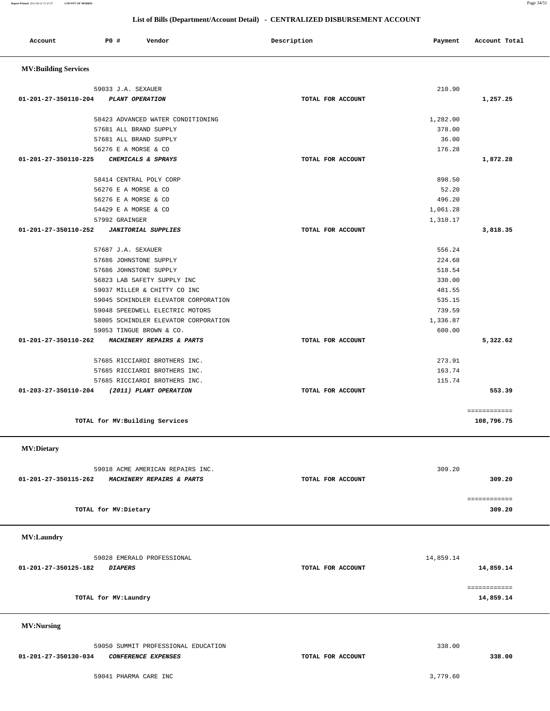**Report Printed** *2012-06-22 15:47:07* **COUNTY OF MORRIS** Page 34/51

| Account                     | PO#                   | Vendor                                           | Description       | Payment            | Account Total              |
|-----------------------------|-----------------------|--------------------------------------------------|-------------------|--------------------|----------------------------|
| <b>MV:Building Services</b> |                       |                                                  |                   |                    |                            |
|                             | 59033 J.A. SEXAUER    |                                                  |                   | 210.90             |                            |
| 01-201-27-350110-204        |                       | PLANT OPERATION                                  | TOTAL FOR ACCOUNT |                    | 1,257.25                   |
|                             |                       |                                                  |                   |                    |                            |
|                             |                       | 58423 ADVANCED WATER CONDITIONING                |                   | 1,282.00<br>378.00 |                            |
|                             |                       | 57681 ALL BRAND SUPPLY<br>57681 ALL BRAND SUPPLY |                   | 36.00              |                            |
|                             |                       | 56276 E A MORSE & CO                             |                   | 176.28             |                            |
| 01-201-27-350110-225        |                       | CHEMICALS & SPRAYS                               | TOTAL FOR ACCOUNT |                    | 1,872.28                   |
|                             |                       |                                                  |                   |                    |                            |
|                             |                       | 58414 CENTRAL POLY CORP                          |                   | 898.50             |                            |
|                             |                       | 56276 E A MORSE & CO<br>56276 E A MORSE & CO     |                   | 52.20<br>496.20    |                            |
|                             |                       | 54429 E A MORSE & CO                             |                   | 1,061.28           |                            |
|                             | 57992 GRAINGER        |                                                  |                   |                    |                            |
| 01-201-27-350110-252        |                       | <b>JANITORIAL SUPPLIES</b>                       | TOTAL FOR ACCOUNT | 1,310.17           | 3,818.35                   |
|                             |                       |                                                  |                   |                    |                            |
|                             | 57687 J.A. SEXAUER    |                                                  |                   | 556.24             |                            |
|                             |                       | 57686 JOHNSTONE SUPPLY                           |                   | 224.68             |                            |
|                             |                       | 57686 JOHNSTONE SUPPLY                           |                   | 518.54             |                            |
|                             |                       | 56823 LAB SAFETY SUPPLY INC                      |                   | 330.00             |                            |
|                             |                       | 59037 MILLER & CHITTY CO INC                     |                   | 481.55             |                            |
|                             |                       | 59045 SCHINDLER ELEVATOR CORPORATION             |                   | 535.15             |                            |
|                             |                       | 59048 SPEEDWELL ELECTRIC MOTORS                  |                   | 739.59             |                            |
|                             |                       | 58005 SCHINDLER ELEVATOR CORPORATION             |                   | 1,336.87           |                            |
|                             |                       | 59053 TINGUE BROWN & CO.                         |                   | 600.00             |                            |
| 01-201-27-350110-262        |                       | MACHINERY REPAIRS & PARTS                        | TOTAL FOR ACCOUNT |                    | 5,322.62                   |
|                             |                       | 57685 RICCIARDI BROTHERS INC.                    |                   | 273.91             |                            |
|                             |                       | 57685 RICCIARDI BROTHERS INC.                    |                   | 163.74             |                            |
|                             |                       | 57685 RICCIARDI BROTHERS INC.                    |                   | 115.74             |                            |
| 01-203-27-350110-204        |                       | (2011) PLANT OPERATION                           | TOTAL FOR ACCOUNT |                    | 553.39                     |
|                             |                       |                                                  |                   |                    |                            |
|                             |                       | TOTAL for MV: Building Services                  |                   |                    | ============<br>108,796.75 |
|                             |                       |                                                  |                   |                    |                            |
| <b>MV:Dietary</b>           |                       |                                                  |                   |                    |                            |
|                             |                       |                                                  |                   |                    |                            |
|                             |                       | 59018 ACME AMERICAN REPAIRS INC.                 |                   | 309.20             |                            |
| 01-201-27-350115-262        |                       | MACHINERY REPAIRS & PARTS                        | TOTAL FOR ACCOUNT |                    | 309.20                     |
|                             |                       |                                                  |                   |                    | ============               |
|                             | TOTAL for MV: Dietary |                                                  |                   |                    | 309.20                     |
|                             |                       |                                                  |                   |                    |                            |
| MV:Laundry                  |                       |                                                  |                   |                    |                            |
|                             |                       | 59028 EMERALD PROFESSIONAL                       |                   | 14,859.14          |                            |
| 01-201-27-350125-182        | <b>DIAPERS</b>        |                                                  | TOTAL FOR ACCOUNT |                    | 14,859.14                  |
|                             |                       |                                                  |                   |                    |                            |
|                             |                       |                                                  |                   |                    | ============               |
|                             | TOTAL for MV: Laundry |                                                  |                   |                    | 14,859.14                  |
| <b>MV:Nursing</b>           |                       |                                                  |                   |                    |                            |
|                             |                       |                                                  |                   |                    |                            |
|                             |                       | 59050 SUMMIT PROFESSIONAL EDUCATION              |                   | 338.00             |                            |
| 01-201-27-350130-034        |                       | CONFERENCE EXPENSES                              | TOTAL FOR ACCOUNT |                    | 338.00                     |
|                             |                       |                                                  |                   |                    |                            |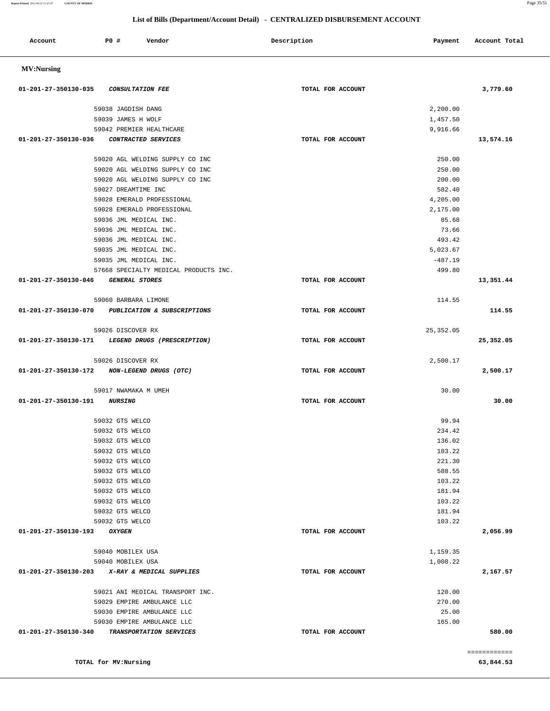| <b>PO #</b><br>Account<br>Vendor                                                       | Description       | Payment              | Account Total |
|----------------------------------------------------------------------------------------|-------------------|----------------------|---------------|
| <b>MV:Nursing</b>                                                                      |                   |                      |               |
| 01-201-27-350130-035<br><b>CONSULTATION FEE</b>                                        | TOTAL FOR ACCOUNT |                      | 3,779.60      |
| 59038 JAGDISH DANG                                                                     |                   | 2,200.00             |               |
| 59039 JAMES H WOLF                                                                     |                   | 1,457.50             |               |
| 59042 PREMIER HEALTHCARE                                                               |                   | 9,916.66             |               |
| 01-201-27-350130-036<br>CONTRACTED SERVICES                                            | TOTAL FOR ACCOUNT |                      | 13,574.16     |
| 59020 AGL WELDING SUPPLY CO INC                                                        |                   | 250.00               |               |
| 59020 AGL WELDING SUPPLY CO INC                                                        |                   | 250.00               |               |
| 59020 AGL WELDING SUPPLY CO INC                                                        |                   | 200.00               |               |
| 59027 DREAMTIME INC                                                                    |                   | 582.40               |               |
| 59028 EMERALD PROFESSIONAL                                                             |                   | 4,205.00             |               |
| 59028 EMERALD PROFESSIONAL                                                             |                   | 2,175.00             |               |
| 59036 JML MEDICAL INC.                                                                 |                   | 85.68                |               |
| 59036 JML MEDICAL INC.                                                                 |                   | 73.66                |               |
| 59036 JML MEDICAL INC.                                                                 |                   | 493.42               |               |
| 59035 JML MEDICAL INC.                                                                 |                   | 5,023.67             |               |
| 59035 JML MEDICAL INC.                                                                 |                   | $-487.19$            |               |
| 57668 SPECIALTY MEDICAL PRODUCTS INC.<br>01-201-27-350130-046<br><b>GENERAL STORES</b> | TOTAL FOR ACCOUNT | 499.80               | 13,351.44     |
|                                                                                        |                   |                      |               |
| 59060 BARBARA LIMONE                                                                   |                   | 114.55               |               |
| 01-201-27-350130-070<br>PUBLICATION & SUBSCRIPTIONS                                    | TOTAL FOR ACCOUNT |                      | 114.55        |
| 59026 DISCOVER RX                                                                      |                   | 25, 352.05           |               |
| 01-201-27-350130-171<br>LEGEND DRUGS (PRESCRIPTION)                                    | TOTAL FOR ACCOUNT |                      | 25,352.05     |
| 59026 DISCOVER RX                                                                      |                   | 2,500.17             |               |
| 01-201-27-350130-172<br>NON-LEGEND DRUGS (OTC)                                         | TOTAL FOR ACCOUNT |                      | 2,500.17      |
| 59017 NWAMAKA M UMEH                                                                   |                   | 30.00                |               |
| 01-201-27-350130-191<br><i><b>NURSING</b></i>                                          | TOTAL FOR ACCOUNT |                      | 30.00         |
| 59032 GTS WELCO                                                                        |                   | 99.94                |               |
| 59032 GTS WELCO                                                                        |                   | 234.42               |               |
| 59032 GTS WELCO                                                                        |                   | 136.02               |               |
| 59032 GTS WELCO                                                                        |                   | 103.22               |               |
| 59032 GTS WELCO                                                                        |                   | 221.30               |               |
| 59032 GTS WELCO                                                                        |                   | 588.55               |               |
| 59032 GTS WELCO                                                                        |                   | 103.22               |               |
| 59032 GTS WELCO                                                                        |                   | 181.94               |               |
| 59032 GTS WELCO                                                                        |                   | 103.22               |               |
| 59032 GTS WELCO                                                                        |                   | 181.94               |               |
| 59032 GTS WELCO<br>01-201-27-350130-193<br><b>OXYGEN</b>                               | TOTAL FOR ACCOUNT | 103.22               | 2,056.99      |
|                                                                                        |                   |                      |               |
| 59040 MOBILEX USA<br>59040 MOBILEX USA                                                 |                   | 1,159.35<br>1,008.22 |               |
| X-RAY & MEDICAL SUPPLIES<br>01-201-27-350130-203                                       | TOTAL FOR ACCOUNT |                      | 2,167.57      |
|                                                                                        |                   |                      |               |
| 59021 ANI MEDICAL TRANSPORT INC.                                                       |                   | 120.00               |               |
| 59029 EMPIRE AMBULANCE LLC                                                             |                   | 270.00               |               |
| 59030 EMPIRE AMBULANCE LLC                                                             |                   | 25.00                |               |
| 59030 EMPIRE AMBULANCE LLC<br>01-201-27-350130-340<br>TRANSPORTATION SERVICES          | TOTAL FOR ACCOUNT | 165.00               | 580.00        |
|                                                                                        |                   |                      |               |
|                                                                                        |                   |                      | ============  |
| TOTAL for MV:Nursing                                                                   |                   |                      | 63,844.53     |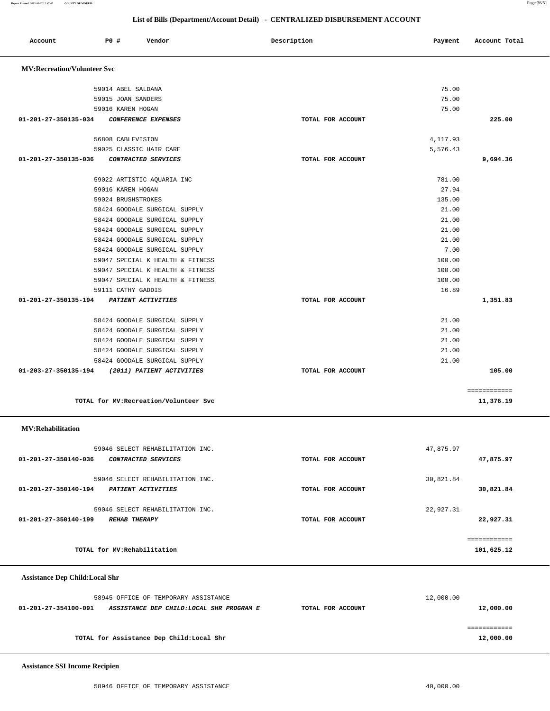**Assistance SSI Income Recipien**

| <b>Assistance Dep Child:Local Shr</b> |                                           |                   |           |
|---------------------------------------|-------------------------------------------|-------------------|-----------|
|                                       | 58945 OFFICE OF TEMPORARY ASSISTANCE      |                   | 12,000.00 |
| 01-201-27-354100-091                  | ASSISTANCE DEP CHILD: LOCAL SHR PROGRAM E | TOTAL FOR ACCOUNT | 12,000.00 |
|                                       |                                           |                   |           |
|                                       | TOTAL for Assistance Dep Child: Local Shr |                   | 12,000.00 |

### Ass

| 59046 SELECT REHABILITATION INC.                                               |                   | 47,875.97              |
|--------------------------------------------------------------------------------|-------------------|------------------------|
| 01-201-27-350140-036<br>CONTRACTED SERVICES                                    | TOTAL FOR ACCOUNT | 47,875.97              |
| 59046 SELECT REHABILITATION INC.<br>01-201-27-350140-194<br>PATIENT ACTIVITIES | TOTAL FOR ACCOUNT | 30,821.84<br>30,821.84 |
| 59046 SELECT REHABILITATION INC.<br>01-201-27-350140-199<br>REHAB THERAPY      | TOTAL FOR ACCOUNT | 22,927.31<br>22,927.31 |
|                                                                                |                   | ============           |
| TOTAL for MV: Rehabilitation                                                   |                   | 101,625.12             |

 **MV:Rehabilitation** 

| 56808 CABLEVISION                              |                   | 4, 117.93 |              |
|------------------------------------------------|-------------------|-----------|--------------|
| 59025 CLASSIC HAIR CARE                        |                   | 5,576.43  |              |
| 01-201-27-350135-036<br>CONTRACTED SERVICES    | TOTAL FOR ACCOUNT |           | 9,694.36     |
| 59022 ARTISTIC AQUARIA INC                     |                   | 781.00    |              |
| 59016 KAREN HOGAN                              |                   | 27.94     |              |
| 59024 BRUSHSTROKES                             |                   | 135.00    |              |
| 58424 GOODALE SURGICAL SUPPLY                  |                   | 21.00     |              |
| 58424 GOODALE SURGICAL SUPPLY                  |                   | 21.00     |              |
| 58424 GOODALE SURGICAL SUPPLY                  |                   | 21.00     |              |
| 58424 GOODALE SURGICAL SUPPLY                  |                   | 21.00     |              |
| 58424 GOODALE SURGICAL SUPPLY                  |                   | 7.00      |              |
| 59047 SPECIAL K HEALTH & FITNESS               |                   | 100.00    |              |
| 59047 SPECIAL K HEALTH & FITNESS               |                   | 100.00    |              |
| 59047 SPECIAL K HEALTH & FITNESS               |                   | 100.00    |              |
| 59111 CATHY GADDIS                             |                   | 16.89     |              |
| 01-201-27-350135-194 PATIENT ACTIVITIES        | TOTAL FOR ACCOUNT |           | 1,351.83     |
| 58424 GOODALE SURGICAL SUPPLY                  |                   | 21.00     |              |
| 58424 GOODALE SURGICAL SUPPLY                  |                   | 21.00     |              |
| 58424 GOODALE SURGICAL SUPPLY                  |                   | 21.00     |              |
| 58424 GOODALE SURGICAL SUPPLY                  |                   | 21.00     |              |
| 58424 GOODALE SURGICAL SUPPLY                  |                   | 21.00     |              |
| 01-203-27-350135-194 (2011) PATIENT ACTIVITIES | TOTAL FOR ACCOUNT |           | 105.00       |
|                                                |                   |           | ============ |
| TOTAL for MV: Recreation/Volunteer Svc         |                   |           | 11,376.19    |

 **MV:Recreation/Volunteer Svc**

# **List of Bills (Department/Account Detail) - CENTRALIZED DISBURSEMENT ACCOUNT**

Account **PO #** Vendor **Description Payment Account Total** 

 59014 ABEL SALDANA 75.00 59015 JOAN SANDERS 75.00 59016 KAREN HOGAN 75.00  **01-201-27-350135-034 CONFERENCE EXPENSES TOTAL FOR ACCOUNT 225.00**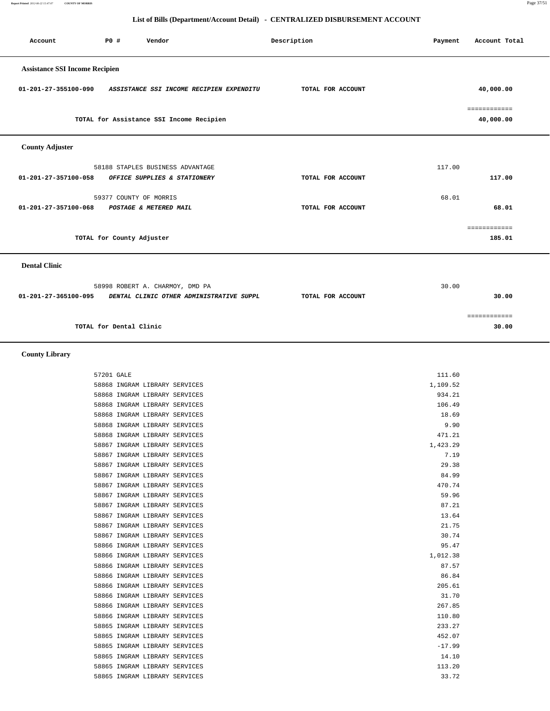**Report Printed** *2012-06-22 15:47:07* **COUNTY OF MORRIS** Page 37/51

## **List of Bills (Department/Account Detail) - CENTRALIZED DISBURSEMENT ACCOUNT**

| Account                               | PO#                       | Vendor                                   |                                          | Description       | Payment | Account Total             |
|---------------------------------------|---------------------------|------------------------------------------|------------------------------------------|-------------------|---------|---------------------------|
| <b>Assistance SSI Income Recipien</b> |                           |                                          |                                          |                   |         |                           |
| 01-201-27-355100-090                  |                           |                                          | ASSISTANCE SSI INCOME RECIPIEN EXPENDITU | TOTAL FOR ACCOUNT |         | 40,000.00                 |
|                                       |                           | TOTAL for Assistance SSI Income Recipien |                                          |                   |         | ============<br>40,000.00 |
| <b>County Adjuster</b>                |                           |                                          |                                          |                   |         |                           |
|                                       |                           | 58188 STAPLES BUSINESS ADVANTAGE         |                                          |                   | 117.00  |                           |
| 01-201-27-357100-058                  |                           | OFFICE SUPPLIES & STATIONERY             |                                          | TOTAL FOR ACCOUNT |         | 117.00                    |
|                                       |                           | 59377 COUNTY OF MORRIS                   |                                          |                   | 68.01   |                           |
| 01-201-27-357100-068                  |                           | POSTAGE & METERED MAIL                   |                                          | TOTAL FOR ACCOUNT |         | 68.01                     |
|                                       |                           |                                          |                                          |                   |         | ============              |
|                                       | TOTAL for County Adjuster |                                          |                                          |                   |         | 185.01                    |
| <b>Dental Clinic</b>                  |                           |                                          |                                          |                   |         |                           |
|                                       |                           | 58998 ROBERT A. CHARMOY, DMD PA          |                                          |                   | 30.00   |                           |
| 01-201-27-365100-095                  |                           |                                          | DENTAL CLINIC OTHER ADMINISTRATIVE SUPPL | TOTAL FOR ACCOUNT |         | 30.00                     |
|                                       |                           |                                          |                                          |                   |         | ============              |
|                                       | TOTAL for Dental Clinic   |                                          |                                          |                   |         | 30.00                     |

 **County Library** 

| 111.60   |                               | 57201 GALE |
|----------|-------------------------------|------------|
| 1,109.52 | 58868 INGRAM LIBRARY SERVICES |            |
| 934.21   | 58868 INGRAM LIBRARY SERVICES |            |
| 106.49   | 58868 INGRAM LIBRARY SERVICES |            |
| 18.69    | 58868 INGRAM LIBRARY SERVICES |            |
| 9.90     | 58868 INGRAM LIBRARY SERVICES |            |
| 471.21   | 58868 INGRAM LIBRARY SERVICES |            |
| 1,423.29 | 58867 INGRAM LIBRARY SERVICES |            |
| 7.19     | 58867 INGRAM LIBRARY SERVICES |            |
| 29.38    | 58867 INGRAM LIBRARY SERVICES |            |
| 84.99    | 58867 INGRAM LIBRARY SERVICES |            |
| 470.74   | 58867 INGRAM LIBRARY SERVICES |            |
| 59.96    | 58867 INGRAM LIBRARY SERVICES |            |
| 87.21    | 58867 INGRAM LIBRARY SERVICES |            |
| 13.64    | 58867 INGRAM LIBRARY SERVICES |            |
| 21.75    | 58867 INGRAM LIBRARY SERVICES |            |
| 30.74    | 58867 INGRAM LIBRARY SERVICES |            |
| 95.47    | 58866 INGRAM LIBRARY SERVICES |            |
| 1,012.38 | 58866 INGRAM LIBRARY SERVICES |            |
| 87.57    | 58866 INGRAM LIBRARY SERVICES |            |
| 86.84    | 58866 INGRAM LIBRARY SERVICES |            |
| 205.61   | 58866 INGRAM LIBRARY SERVICES |            |
| 31.70    | 58866 INGRAM LIBRARY SERVICES |            |
| 267.85   | 58866 INGRAM LIBRARY SERVICES |            |
| 110.80   | 58866 INGRAM LIBRARY SERVICES |            |
| 233.27   | 58865 INGRAM LIBRARY SERVICES |            |
| 452.07   | 58865 INGRAM LIBRARY SERVICES |            |
| $-17.99$ | 58865 INGRAM LIBRARY SERVICES |            |
| 14.10    | 58865 INGRAM LIBRARY SERVICES |            |
| 113.20   | 58865 INGRAM LIBRARY SERVICES |            |
| 33.72    | 58865 INGRAM LIBRARY SERVICES |            |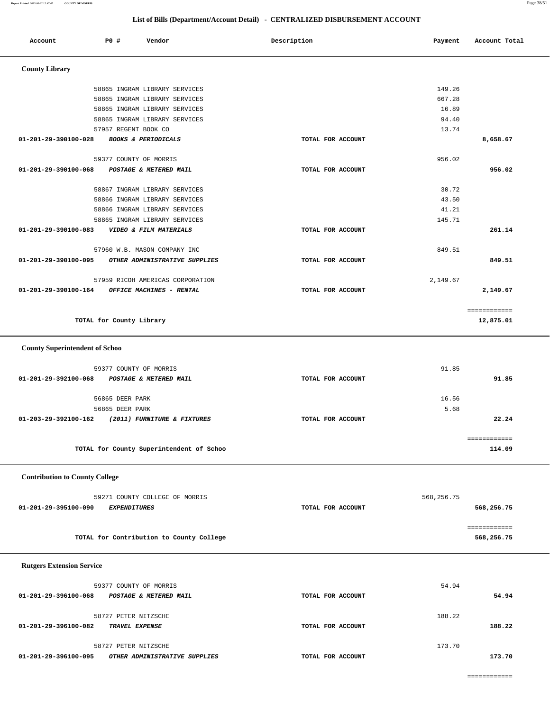**Report Printed** *2012-06-22 15:47:07* **COUNTY OF MORRIS** Page 38/51

| Account                               | P0 #                     |                                | Vendor                                   | Description |                   | Payment    | Account Total              |  |
|---------------------------------------|--------------------------|--------------------------------|------------------------------------------|-------------|-------------------|------------|----------------------------|--|
| <b>County Library</b>                 |                          |                                |                                          |             |                   |            |                            |  |
|                                       |                          |                                | 58865 INGRAM LIBRARY SERVICES            |             |                   | 149.26     |                            |  |
|                                       |                          |                                | 58865 INGRAM LIBRARY SERVICES            |             |                   | 667.28     |                            |  |
|                                       |                          |                                | 58865 INGRAM LIBRARY SERVICES            |             |                   | 16.89      |                            |  |
|                                       |                          |                                | 58865 INGRAM LIBRARY SERVICES            |             |                   | 94.40      |                            |  |
|                                       |                          | 57957 REGENT BOOK CO           |                                          |             |                   | 13.74      |                            |  |
| 01-201-29-390100-028                  |                          | <b>BOOKS &amp; PERIODICALS</b> |                                          |             | TOTAL FOR ACCOUNT |            | 8,658.67                   |  |
|                                       |                          | 59377 COUNTY OF MORRIS         |                                          |             |                   | 956.02     |                            |  |
| 01-201-29-390100-068                  |                          |                                | POSTAGE & METERED MAIL                   |             | TOTAL FOR ACCOUNT |            | 956.02                     |  |
|                                       |                          |                                | 58867 INGRAM LIBRARY SERVICES            |             |                   | 30.72      |                            |  |
|                                       |                          |                                | 58866 INGRAM LIBRARY SERVICES            |             |                   | 43.50      |                            |  |
|                                       |                          |                                | 58866 INGRAM LIBRARY SERVICES            |             |                   | 41.21      |                            |  |
|                                       |                          |                                | 58865 INGRAM LIBRARY SERVICES            |             |                   | 145.71     |                            |  |
| 01-201-29-390100-083                  |                          |                                | VIDEO & FILM MATERIALS                   |             | TOTAL FOR ACCOUNT |            | 261.14                     |  |
|                                       |                          |                                | 57960 W.B. MASON COMPANY INC             |             |                   | 849.51     |                            |  |
| 01-201-29-390100-095                  |                          |                                | OTHER ADMINISTRATIVE SUPPLIES            |             | TOTAL FOR ACCOUNT |            | 849.51                     |  |
|                                       |                          |                                | 57959 RICOH AMERICAS CORPORATION         |             |                   | 2,149.67   |                            |  |
| 01-201-29-390100-164                  |                          |                                | OFFICE MACHINES - RENTAL                 |             | TOTAL FOR ACCOUNT |            | 2,149.67                   |  |
|                                       | TOTAL for County Library |                                |                                          |             |                   |            | ============<br>12,875.01  |  |
| <b>County Superintendent of Schoo</b> |                          |                                |                                          |             |                   |            |                            |  |
|                                       |                          | 59377 COUNTY OF MORRIS         |                                          |             |                   | 91.85      |                            |  |
| 01-201-29-392100-068                  |                          |                                | POSTAGE & METERED MAIL                   |             | TOTAL FOR ACCOUNT |            | 91.85                      |  |
|                                       |                          |                                |                                          |             |                   |            |                            |  |
|                                       |                          | 56865 DEER PARK                |                                          |             |                   | 16.56      |                            |  |
|                                       |                          | 56865 DEER PARK                |                                          |             |                   | 5.68       |                            |  |
| 01-203-29-392100-162                  |                          |                                | (2011) FURNITURE & FIXTURES              |             | TOTAL FOR ACCOUNT |            | 22.24                      |  |
|                                       |                          |                                |                                          |             |                   |            |                            |  |
|                                       |                          |                                | TOTAL for County Superintendent of Schoo |             |                   |            | ============<br>114.09     |  |
|                                       |                          |                                |                                          |             |                   |            |                            |  |
| <b>Contribution to County College</b> |                          |                                |                                          |             |                   |            |                            |  |
|                                       |                          |                                |                                          |             |                   |            |                            |  |
|                                       |                          |                                | 59271 COUNTY COLLEGE OF MORRIS           |             |                   | 568,256.75 |                            |  |
| 01-201-29-395100-090                  |                          | <b>EXPENDITURES</b>            |                                          |             | TOTAL FOR ACCOUNT |            | 568,256.75                 |  |
|                                       |                          |                                | TOTAL for Contribution to County College |             |                   |            | ============<br>568,256.75 |  |
|                                       |                          |                                |                                          |             |                   |            |                            |  |
| <b>Rutgers Extension Service</b>      |                          |                                |                                          |             |                   |            |                            |  |
|                                       |                          | 59377 COUNTY OF MORRIS         |                                          |             |                   | 54.94      |                            |  |
| 01-201-29-396100-068                  |                          |                                | POSTAGE & METERED MAIL                   |             | TOTAL FOR ACCOUNT |            | 54.94                      |  |
|                                       |                          | 58727 PETER NITZSCHE           |                                          |             |                   | 188.22     |                            |  |
| 01-201-29-396100-082                  |                          | TRAVEL EXPENSE                 |                                          |             | TOTAL FOR ACCOUNT |            | 188.22                     |  |
|                                       |                          |                                |                                          |             |                   |            |                            |  |
|                                       |                          | 58727 PETER NITZSCHE           |                                          |             |                   | 173.70     |                            |  |
| 01-201-29-396100-095                  |                          |                                | OTHER ADMINISTRATIVE SUPPLIES            |             | TOTAL FOR ACCOUNT |            | 173.70                     |  |
|                                       |                          |                                |                                          |             |                   |            |                            |  |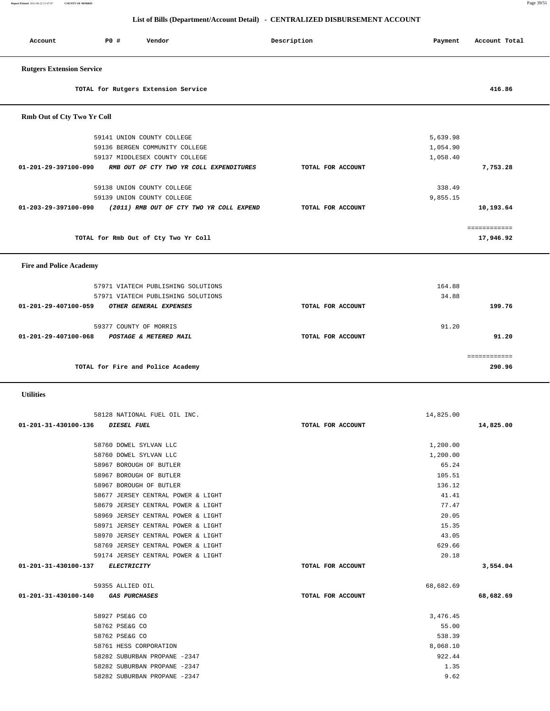**Account P0 # Vendor Description Payment Account Total Rutgers Extension Service TOTAL for Rutgers Extension Service 416.86 Rmb Out of Cty Two Yr Coll** 59141 UNION COUNTY COLLEGE 5,639.98 59136 BERGEN COMMUNITY COLLEGE 1,054.90 59137 MIDDLESEX COUNTY COLLEGE 1,058.40  **01-201-29-397100-090 RMB OUT OF CTY TWO YR COLL EXPENDITURES TOTAL FOR ACCOUNT 7,753.28** 59138 UNION COUNTY COLLEGE 338.49 59139 UNION COUNTY COLLEGE 9,855.15  **01-203-29-397100-090 (2011) RMB OUT OF CTY TWO YR COLL EXPEND TOTAL FOR ACCOUNT 10,193.64** ============ **TOTAL for Rmb Out of Cty Two Yr Coll 17,946.92 Fire and Police Academy**  57971 VIATECH PUBLISHING SOLUTIONS 164.88 57971 VIATECH PUBLISHING SOLUTIONS 34.88  **01-201-29-407100-059 OTHER GENERAL EXPENSES TOTAL FOR ACCOUNT 199.76** 59377 COUNTY OF MORRIS 91.20  **01-201-29-407100-068 POSTAGE & METERED MAIL TOTAL FOR ACCOUNT 91.20** ============ **TOTAL for Fire and Police Academy 290.96 Utilities**  58128 NATIONAL FUEL OIL INC. 14,825.00  **01-201-31-430100-136 DIESEL FUEL TOTAL FOR ACCOUNT 14,825.00** 58760 DOWEL SYLVAN LLC 1,200.00 58760 DOWEL SYLVAN LLC 1,200.00 58967 BOROUGH OF BUTLER 65.24 58967 BOROUGH OF BUTLER 105.51 58967 BOROUGH OF BUTLER 136.12 58677 JERSEY CENTRAL POWER & LIGHT 41.41 58679 JERSEY CENTRAL POWER & LIGHT 77.47 58969 JERSEY CENTRAL POWER & LIGHT 20.05 58971 JERSEY CENTRAL POWER & LIGHT 15.35 58970 JERSEY CENTRAL POWER & LIGHT 43.05 58769 JERSEY CENTRAL POWER & LIGHT 629.66 59174 JERSEY CENTRAL POWER & LIGHT 20.18  **01-201-31-430100-137 ELECTRICITY TOTAL FOR ACCOUNT 3,554.04** 59355 ALLIED OIL 68,682.69  **01-201-31-430100-140 GAS PURCHASES TOTAL FOR ACCOUNT 68,682.69** 58927 PSE&G CO 3,476.45 58762 PSE&G CO 55.00 58762 PSE&G CO 538.39 **538.39**  58761 HESS CORPORATION 8,068.10 58282 SUBURBAN PROPANE -2347 922.44 58282 SUBURBAN PROPANE -2347 1.35 58282 SUBURBAN PROPANE -2347 9.62

## **List of Bills (Department/Account Detail) - CENTRALIZED DISBURSEMENT ACCOUNT**

**Report Printed** *2012-06-22 15:47:07* **COUNTY OF MORRIS** Page 39/51